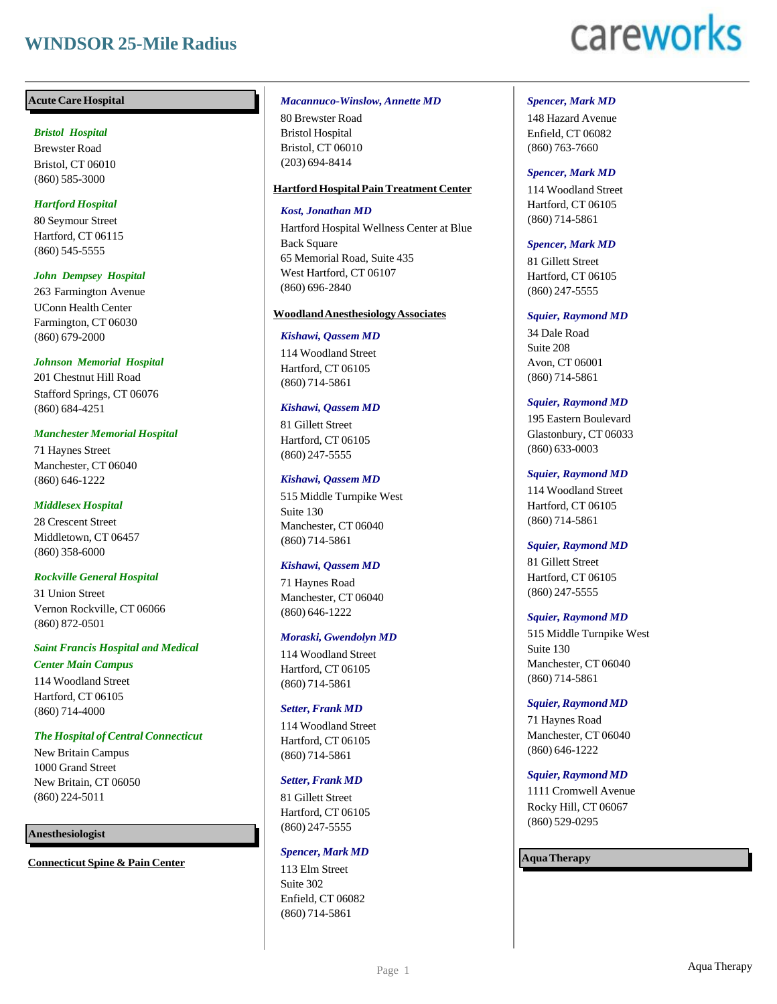## **WINDSOR 25-Mile Radius**

# careworks

## **Acute Care Hospital**

## *Bristol Hospital*

Brewster Road Bristol, CT 06010 (860) 585-3000

## *Hartford Hospital*

80 Seymour Street Hartford, CT 06115 (860) 545-5555

## *John Dempsey Hospital*

263 Farmington Avenue UConn Health Center Farmington, CT 06030 (860) 679-2000

## *Johnson Memorial Hospital*

201 Chestnut Hill Road Stafford Springs, CT 06076 (860) 684-4251

## *Manchester Memorial Hospital*

71 Haynes Street Manchester, CT 06040 (860) 646-1222

## *Middlesex Hospital*

28 Crescent Street Middletown, CT 06457 (860) 358-6000

## *Rockville General Hospital*

31 Union Street Vernon Rockville, CT 06066 (860) 872-0501

## *Saint Francis Hospital and Medical Center Main Campus*

114 Woodland Street Hartford, CT 06105 (860) 714-4000

## *The Hospital of Central Connecticut*

New Britain Campus 1000 Grand Street New Britain, CT 06050 (860) 224-5011

## **Anesthesiologist**

**Connecticut Spine & Pain Center**

#### *Macannuco-Winslow, Annette MD*

80 Brewster Road Bristol Hospital Bristol, CT 06010 (203) 694-8414

## **HartfordHospital PainTreatment Center**

## *Kost, Jonathan MD*

Hartford Hospital Wellness Center at Blue Back Square 65 Memorial Road, Suite 435 West Hartford, CT 06107 (860) 696-2840

## **WoodlandAnesthesiologyAssociates**

## *Kishawi, Qassem MD*

114 Woodland Street Hartford, CT 06105 (860) 714-5861

## *Kishawi, Qassem MD*

81 Gillett Street Hartford, CT 06105 (860) 247-5555

## *Kishawi, Qassem MD*

515 Middle Turnpike West Suite 130 Manchester, CT 06040 (860) 714-5861

## *Kishawi, Qassem MD*

71 Haynes Road Manchester, CT 06040 (860) 646-1222

## *Moraski, Gwendolyn MD*

114 Woodland Street Hartford, CT 06105 (860) 714-5861

## *Setter, Frank MD*

114 Woodland Street Hartford, CT 06105 (860) 714-5861

## *Setter, Frank MD*

81 Gillett Street Hartford, CT 06105 (860) 247-5555

#### *Spencer, Mark MD*

113 Elm Street Suite 302 Enfield, CT 06082 (860) 714-5861

## *Spencer, Mark MD*

148 Hazard Avenue Enfield, CT 06082 (860) 763-7660

## *Spencer, Mark MD*

114 Woodland Street Hartford, CT 06105 (860) 714-5861

## *Spencer, Mark MD*

81 Gillett Street Hartford, CT 06105 (860) 247-5555

## *Squier, Raymond MD*

34 Dale Road Suite 208 Avon, CT 06001 (860) 714-5861

## *Squier, Raymond MD*

195 Eastern Boulevard Glastonbury, CT 06033 (860) 633-0003

## *Squier, Raymond MD*

114 Woodland Street Hartford, CT 06105 (860) 714-5861

## *Squier, Raymond MD*

81 Gillett Street Hartford, CT 06105 (860) 247-5555

## *Squier, Raymond MD*

515 Middle Turnpike West Suite 130 Manchester, CT 06040 (860) 714-5861

## *Squier,Raymond MD*

71 Haynes Road Manchester, CT 06040 (860) 646-1222

## *Squier,Raymond MD*

1111 Cromwell Avenue Rocky Hill, CT 06067 (860) 529-0295

## **AquaTherapy**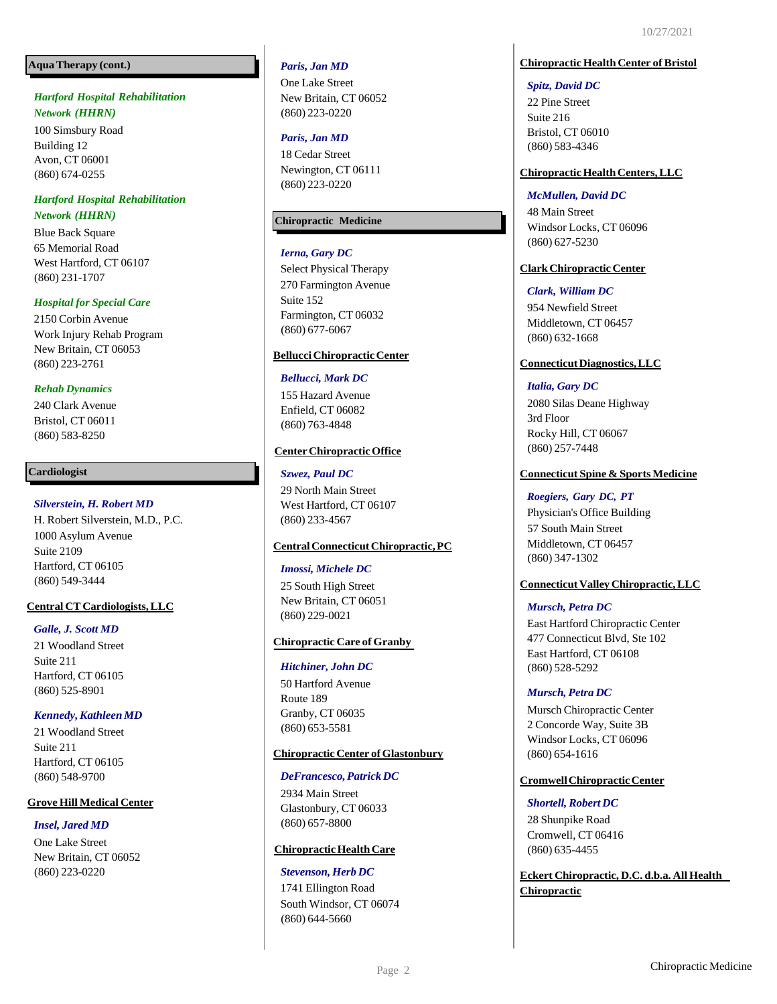## **AquaTherapy (cont.)**

## *Hartford Hospital Rehabilitation Network (HHRN)*

100 Simsbury Road Building 12 Avon, CT 06001 (860) 674 -0255

## *Hartford Hospital Rehabilitation Network (HHRN)*

Blue Back Square 65 Memorial Road West Hartford, CT 06107 (860) 231 -1707

## *Hospital for Special Care*

2150 Corbin Avenue Work Injury Rehab Program New Britain, CT 06053 (860) 223 -2761

## *Rehab Dynamics*

240 Clark Avenue Bristol, CT 06011 (860) 583 -8250

## **Cardiologist**

## *Silverstein, H. Robert MD*

H. Robert Silverstein, M.D., P.C. 1000 Asylum Avenue Suite 2109 Hartford, CT 06105 (860) 549 -3444

## **Central CT Cardiologists,LLC**

## *Galle, J. Scott MD*

21 Woodland Street Suite 211 Hartford, CT 06105 (860) 525 -8901

## *Kennedy,Kathleen MD*

21 Woodland Street Suite 211 Hartford, CT 06105 (860) 548 -9700

## **Grove Hill Medical Center**

## *Insel, Jared MD*

One Lake Street New Britain, CT 06052 (860) 223 -0220

## *Paris, Jan MD*

One Lake Street New Britain, CT 06052 (860) 223 -0220

## *Paris, Jan MD*

18 Cedar Street Newington, CT 06111 (860) 223 -0220

## **Chiropractic Medicine**

## *Ierna, Gary DC*

Select Physical Therapy 270 Farmington Avenue Suite 152 Farmington, CT 06032 (860) 677 -6067

## **BellucciChiropracticCenter**

## *Bellucci, Mark DC*

155 Hazard Avenue Enfield, CT 06082 (860) 763 -4848

## **CenterChiropracticOffice**

## *Szwez, Paul DC*

29 North Main Street West Hartford, CT 06107 (860) 233 -4567

## **CentralConnecticutChiropractic,PC**

#### *Imossi, Michele DC*

25 South High Street New Britain, CT 06051 (860) 229 -0021

## **Chiropractic Care of Granby**

#### *Hitchiner, John DC*

50 Hartford Avenue Route 189 Granby, CT 06035 (860) 653 -5581

## **Chiropractic Center ofGlastonbury**

#### *DeFrancesco,Patrick DC*

2934 Main Street Glastonbury, CT 06033 (860) 657 -8800

## **Chiropractic Health Care**

#### *Stevenson, Herb DC*

1741 Ellington Road South Windsor, CT 06074 (860) 644 -5660

## **Chiropractic Health Center of Bristol**

#### *Spitz, David DC*

22 Pine Street Suite 216 Bristol, CT 06010 (860) 583 -4346

## **Chiropractic Health Centers, LLC**

## *McMullen, David DC*

48 Main Street Windsor Locks, CT 06096 (860) 627 -5230

## **ClarkChiropracticCenter**

## *Clark, William DC*

954 Newfield Street Middletown, CT 06457 (860) 632 -1668

## **ConnecticutDiagnostics,LLC**

## *Italia, Gary DC*

2080 Silas Deane Highway 3rd Floor Rocky Hill, CT 06067 (860) 257 -7448

## **Connecticut Spine & Sports Medicine**

## *Roegiers, Gary DC, PT*

Physician's Office Building 57 South Main Street Middletown, CT 06457 (860) 347 -1302

## **Connecticut Valley Chiropractic, LLC**

## *Mursch, Petra DC*

East Hartford Chiropractic Center 477 Connecticut Blvd, Ste 102 East Hartford, CT 06108 (860) 528 -5292

#### *Mursch, Petra DC*

Mursch Chiropractic Center 2 Concorde Way, Suite 3B Windsor Locks, CT 06096 (860) 654 -1616

## **CromwellChiropracticCenter**

#### *Shortell,Robert DC*

28 Shunpike Road Cromwell, CT 06416 (860) 635 -4455

**Eckert Chiropractic, D.C. d.b.a. All Health Chiropractic**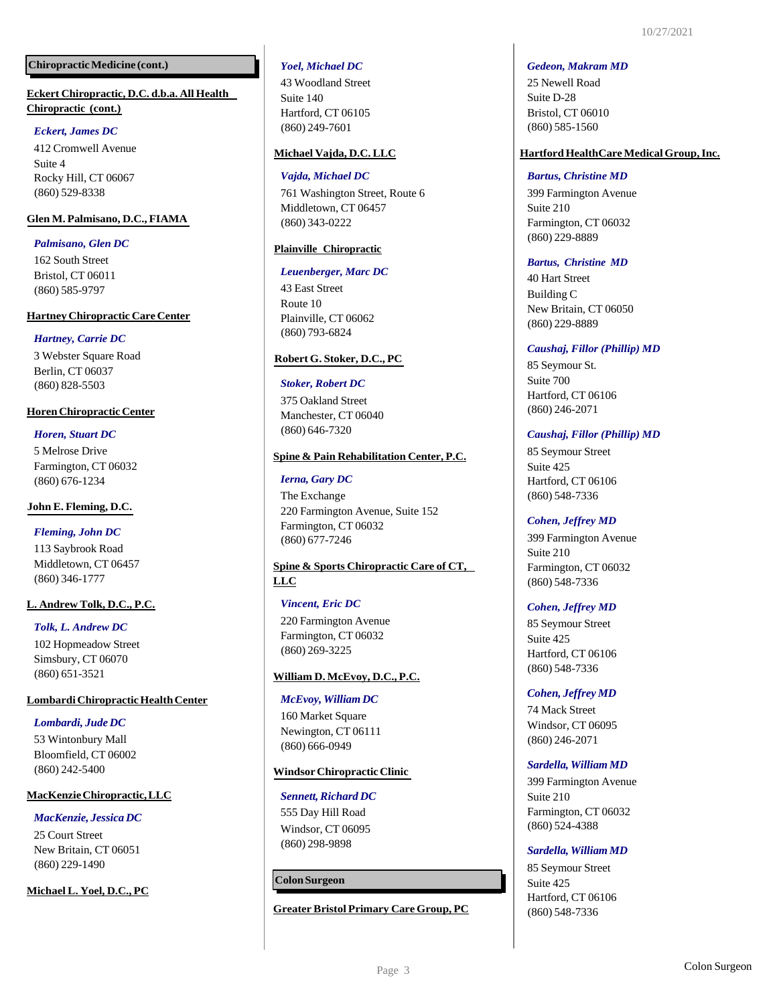## **ChiropracticMedicine (cont.)**

## **Eckert Chiropractic, D.C. d.b.a. All Health Chiropractic (cont.)**

## *Eckert, James DC*

412 Cromwell Avenue Suite 4 Rocky Hill, CT 06067 (860) 529-8338

## **Glen M. Palmisano, D.C., FIAMA**

## *Palmisano, Glen DC*

162 South Street Bristol, CT 06011 (860) 585-9797

## **Hartney Chiropractic Care Center**

## *Hartney, Carrie DC*

3 Webster Square Road Berlin, CT 06037 (860) 828-5503

## **Horen Chiropractic Center**

*Horen, Stuart DC* 5 Melrose Drive Farmington, CT 06032 (860) 676-1234

## **John E. Fleming, D.C.**

## *Fleming, John DC*

113 Saybrook Road Middletown, CT 06457 (860) 346-1777

## **L. Andrew Tolk, D.C., P.C.**

*Tolk, L. Andrew DC* 102 Hopmeadow Street Simsbury, CT 06070 (860) 651-3521

## **Lombardi Chiropractic Health Center**

## *Lombardi, Jude DC*

53 Wintonbury Mall Bloomfield, CT 06002 (860) 242-5400

## **MacKenzieChiropractic,LLC**

## *MacKenzie, Jessica DC*

25 Court Street New Britain, CT 06051 (860) 229-1490

## **Michael L. Yoel, D.C., PC**

## *Yoel, Michael DC*

43 Woodland Street Suite 140 Hartford, CT 06105 (860) 249-7601

## **Michael Vajda, D.C.LLC**

## *Vajda, Michael DC*

761 Washington Street, Route 6 Middletown, CT 06457 (860) 343-0222

## **Plainville Chiropractic**

## *Leuenberger, Marc DC*

43 East Street Route 10 Plainville, CT 06062 (860) 793-6824

## **Robert G. Stoker, D.C., PC**

## *Stoker, Robert DC*

375 Oakland Street Manchester, CT 06040 (860) 646-7320

## **Spine & Pain Rehabilitation Center, P.C.**

## *Ierna, Gary DC*

The Exchange 220 Farmington Avenue, Suite 152 Farmington, CT 06032 (860) 677-7246

## **Spine & Sports Chiropractic Care of CT, LLC**

## *Vincent, Eric DC*

220 Farmington Avenue Farmington, CT 06032 (860) 269-3225

## **William D. McEvoy, D.C., P.C.**

## *McEvoy, William DC*

160 Market Square Newington, CT 06111 (860) 666-0949

## **WindsorChiropracticClinic**

## **Sennett, Richard DC**

555 Day Hill Road Windsor, CT 06095 (860) 298-9898

## **ColonSurgeon**

**Greater Bristol Primary Care Group, PC**

#### *Gedeon, Makram MD*

25 Newell Road Suite D-28 Bristol, CT 06010 (860) 585-1560

## **HartfordHealthCare MedicalGroup,Inc.**

#### *Bartus, Christine MD*

399 Farmington Avenue Suite 210 Farmington, CT 06032 (860) 229-8889

## *Bartus, Christine MD*

40 Hart Street Building C New Britain, CT 06050 (860) 229-8889

## *Caushaj, Fillor (Phillip) MD*

85 Seymour St. Suite 700 Hartford, CT 06106 (860) 246-2071

## *Caushaj, Fillor (Phillip) MD*

85 Seymour Street Suite 425 Hartford, CT 06106 (860) 548-7336

## *Cohen, Jeffrey MD*

399 Farmington Avenue Suite 210 Farmington, CT 06032 (860) 548-7336

## *Cohen, Jeffrey MD*

85 Seymour Street Suite 425 Hartford, CT 06106 (860) 548-7336

## *Cohen, Jeffrey MD*

74 Mack Street Windsor, CT 06095 (860) 246-2071

## *Sardella, William MD*

399 Farmington Avenue Suite 210 Farmington, CT 06032 (860) 524-4388

## *Sardella, William MD*

85 Seymour Street Suite 425 Hartford, CT 06106 (860) 548-7336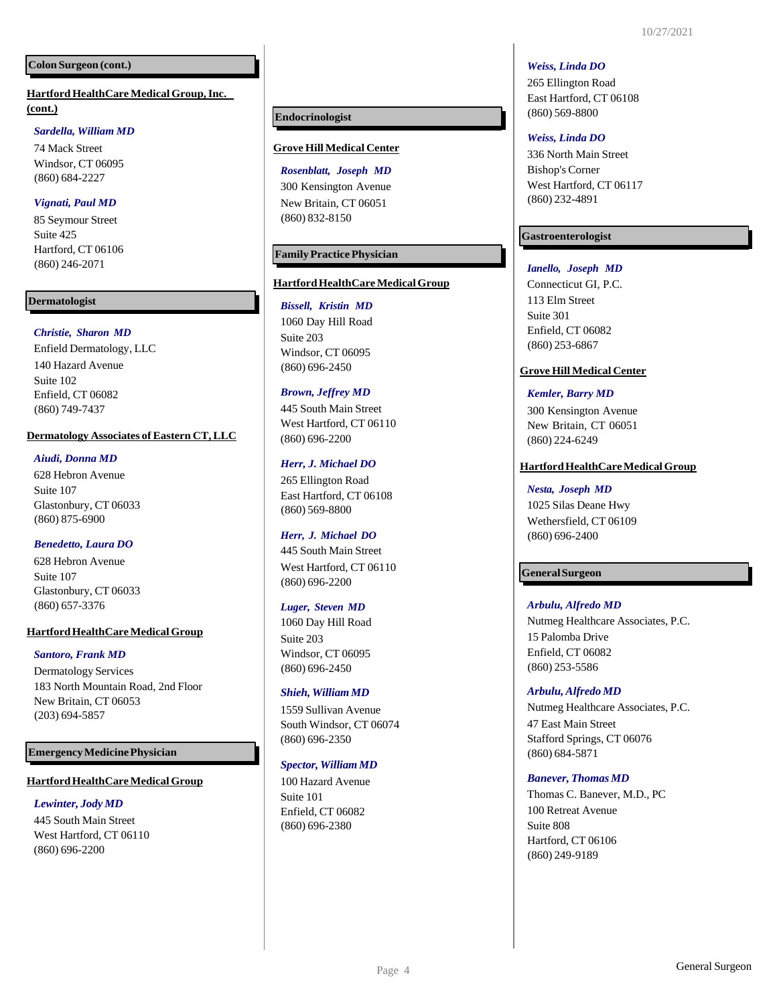## **Colon Surgeon (cont.)**

**HartfordHealthCare MedicalGroup,Inc. (cont.)**

## *Sardella, William MD*

74 Mack Street Windsor, CT 06095 (860) 684-2227

## *Vignati, Paul MD*

85 Seymour Street Suite 425 Hartford, CT 06106 (860) 246-2071

## **Dermatologist**

## *Christie, Sharon MD*

Enfield Dermatology, LLC 140 Hazard Avenue Suite 102 Enfield, CT 06082 (860) 749-7437

#### **Dermatology Associates of Eastern CT,LLC**

## *Aiudi, Donna MD*

628 Hebron Avenue Suite 107 Glastonbury, CT 06033 (860) 875-6900

#### *Benedetto, Laura DO*

628 Hebron Avenue Suite 107 Glastonbury, CT 06033 (860) 657-3376

#### **Hartford HealthCare Medical Group**

#### *Santoro, Frank MD*

Dermatology Services 183 North Mountain Road, 2nd Floor New Britain, CT 06053 (203) 694-5857

#### **EmergencyMedicinePhysician**

#### **Hartford HealthCare Medical Group**

## *Lewinter, Jody MD*

445 South Main Street West Hartford, CT 06110 (860) 696-2200

#### **Endocrinologist**

## **Grove Hill Medical Center**

*Rosenblatt, Joseph MD* 300 Kensington Avenue New Britain, CT 06051 (860) 832-8150

## **FamilyPracticePhysician**

#### **HartfordHealthCareMedicalGroup**

*Bissell, Kristin MD* 1060 Day Hill Road Suite 203 Windsor, CT 06095 (860) 696-2450

#### *Brown, Jeffrey MD*

445 South Main Street West Hartford, CT 06110 (860) 696-2200

#### *Herr, J. Michael DO*

265 Ellington Road East Hartford, CT 06108 (860) 569-8800

## *Herr, J. Michael DO*

445 South Main Street West Hartford, CT 06110 (860) 696-2200

#### *Luger, Steven MD*

1060 Day Hill Road Suite 203 Windsor, CT 06095 (860) 696-2450

#### *Shieh, William MD*

1559 Sullivan Avenue South Windsor, CT 06074 (860) 696-2350

#### *Spector, William MD*

100 Hazard Avenue Suite 101 Enfield, CT 06082 (860) 696-2380

#### *Weiss, Linda DO*

265 Ellington Road East Hartford, CT 06108 (860) 569-8800

#### *Weiss, Linda DO*

336 North Main Street Bishop's Corner West Hartford, CT 06117 (860) 232-4891

## **Gastroenterologist**

#### *Ianello, Joseph MD*

Connecticut GI, P.C. 113 Elm Street Suite 301 Enfield, CT 06082 (860) 253-6867

#### **Grove Hill Medical Center**

#### *Kemler, Barry MD*

300 Kensington Avenue New Britain, CT 06051 (860) 224-6249

#### **Hartford HealthCare Medical Group**

#### *Nesta, Joseph MD*

1025 Silas Deane Hwy Wethersfield, CT 06109 (860) 696-2400

#### **GeneralSurgeon**

#### *Arbulu, Alfredo MD*

Nutmeg Healthcare Associates, P.C. 15 Palomba Drive Enfield, CT 06082 (860) 253-5586

#### *Arbulu, Alfredo MD*

Nutmeg Healthcare Associates, P.C. 47 East Main Street Stafford Springs, CT 06076 (860) 684-5871

#### *Banever, Thomas MD*

Thomas C. Banever, M.D., PC 100 Retreat Avenue Suite 808 Hartford, CT 06106 (860) 249-9189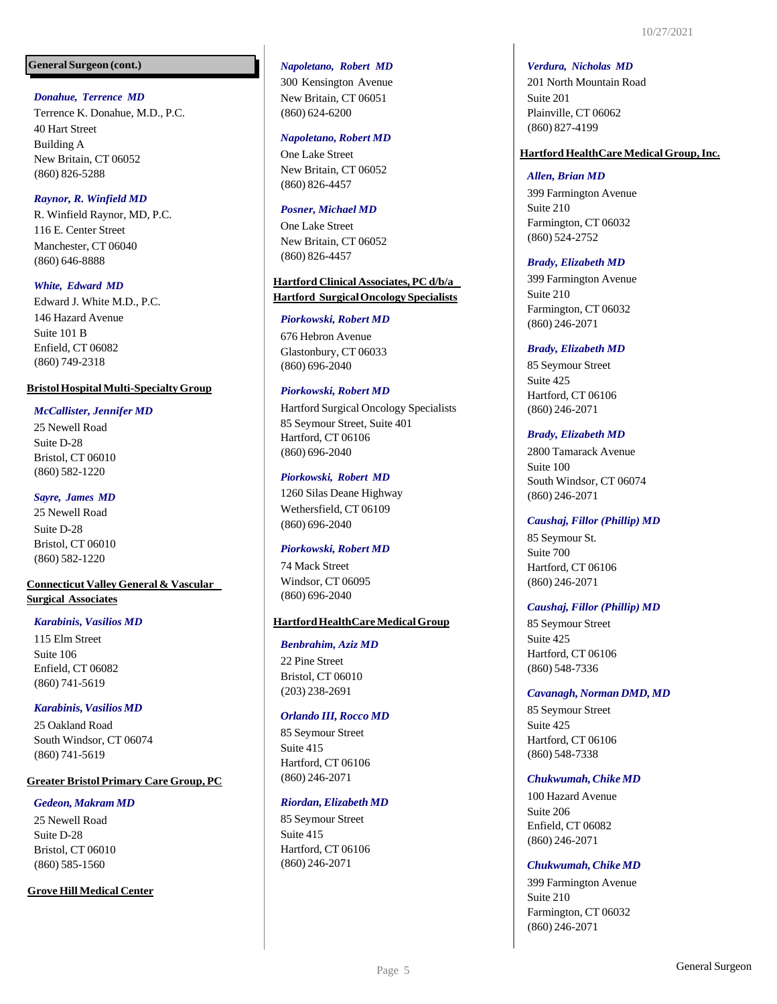#### **General Surgeon (cont.)**

## *Donahue, Terrence MD*

Terrence K. Donahue, M.D., P.C. 40 Hart Street Building A New Britain, CT 06052 (860) 826-5288

## *Raynor, R. Winfield MD*

R. Winfield Raynor, MD, P.C. 116 E. Center Street Manchester, CT 06040 (860) 646-8888

## *White, Edward MD*

Edward J. White M.D., P.C. 146 Hazard Avenue Suite 101 B Enfield, CT 06082 (860) 749-2318

## **BristolHospitalMulti-SpecialtyGroup**

## *McCallister, Jennifer MD*

25 Newell Road Suite D-28 Bristol, CT 06010 (860) 582-1220

## *Sayre, James MD*

25 Newell Road Suite D-28 Bristol, CT 06010 (860) 582-1220

## **Connecticut ValleyGeneral & Vascular Surgical Associates**

## *Karabinis, Vasilios MD*

115 Elm Street Suite 106 Enfield, CT 06082 (860) 741-5619

## *Karabinis,Vasilios MD*

25 Oakland Road South Windsor, CT 06074 (860) 741-5619

## **Greater Bristol Primary Care Group, PC**

## *Gedeon, Makram MD*

25 Newell Road Suite D-28 Bristol, CT 06010 (860) 585-1560

## **Grove Hill Medical Center**

#### *Napoletano, Robert MD*

300 Kensington Avenue New Britain, CT 06051 (860) 624-6200

#### *Napoletano, Robert MD*

One Lake Street New Britain, CT 06052 (860) 826-4457

## *Posner, Michael MD*

One Lake Street New Britain, CT 06052 (860) 826-4457

## **Hartford Clinical Associates, PC d/b/a Hartford SurgicalOncologySpecialists**

## *Piorkowski, Robert MD*

676 Hebron Avenue Glastonbury, CT 06033 (860) 696-2040

## *Piorkowski, Robert MD*

Hartford Surgical Oncology Specialists 85 Seymour Street, Suite 401 Hartford, CT 06106 (860) 696-2040

## *Piorkowski, Robert MD*

1260 Silas Deane Highway Wethersfield, CT 06109 (860) 696-2040

## *Piorkowski, Robert MD*

74 Mack Street Windsor, CT 06095 (860) 696-2040

## **HartfordHealthCareMedicalGroup**

## *Benbrahim, Aziz MD*

22 Pine Street Bristol, CT 06010 (203) 238-2691

## *Orlando III, Rocco MD*

85 Seymour Street Suite 415 Hartford, CT 06106 (860) 246-2071

## *Riordan,Elizabeth MD*

85 Seymour Street Suite 415 Hartford, CT 06106 (860) 246-2071

#### *Verdura, Nicholas MD*

201 North Mountain Road Suite 201 Plainville, CT 06062 (860) 827-4199

#### **HartfordHealthCare MedicalGroup,Inc.**

#### *Allen, Brian MD*

399 Farmington Avenue Suite 210 Farmington, CT 06032 (860) 524-2752

## *Brady, Elizabeth MD*

399 Farmington Avenue Suite 210 Farmington, CT 06032 (860) 246-2071

#### *Brady, Elizabeth MD*

85 Seymour Street Suite 425 Hartford, CT 06106 (860) 246-2071

## *Brady, Elizabeth MD*

2800 Tamarack Avenue Suite 100 South Windsor, CT 06074 (860) 246-2071

## *Caushaj, Fillor (Phillip) MD*

85 Seymour St. Suite 700 Hartford, CT 06106 (860) 246-2071

## *Caushaj, Fillor (Phillip) MD*

85 Seymour Street Suite 425 Hartford, CT 06106 (860) 548-7336

#### *Cavanagh, Norman DMD, MD*

85 Seymour Street Suite 425 Hartford, CT 06106 (860) 548-7338

## *Chukwumah,Chike MD*

100 Hazard Avenue Suite 206 Enfield, CT 06082 (860) 246-2071

#### *Chukwumah,Chike MD*

399 Farmington Avenue Suite 210 Farmington, CT 06032 (860) 246-2071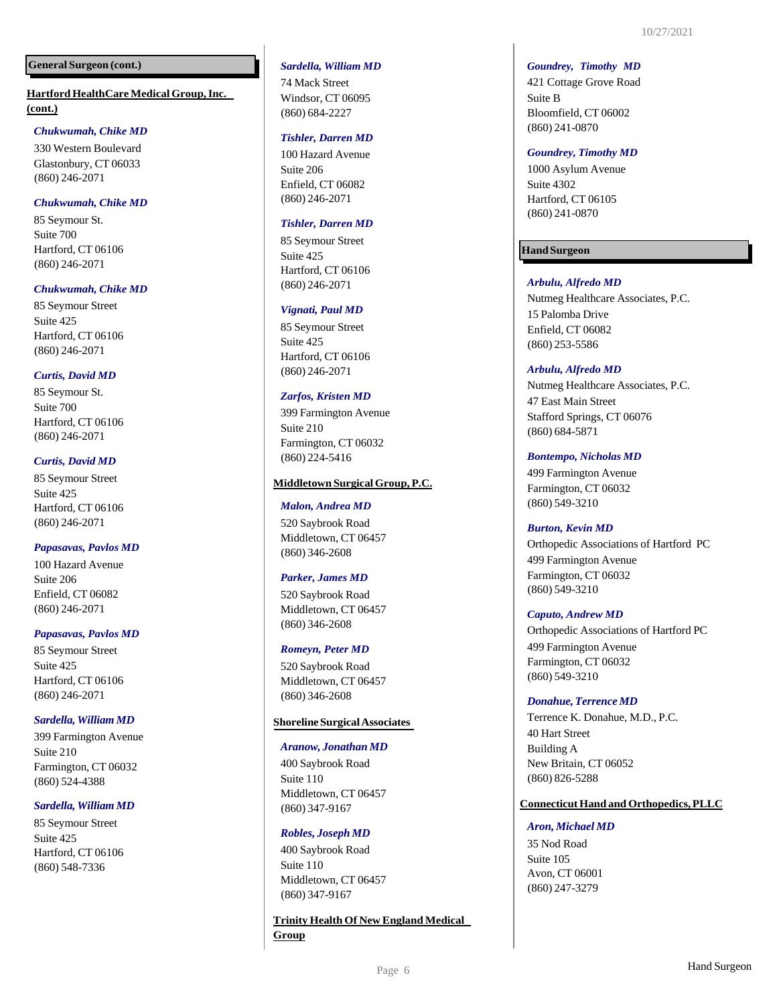#### **General Surgeon (cont.)**

**HartfordHealthCare MedicalGroup,Inc. (cont.)**

## *Chukwumah, Chike MD*

330 Western Boulevard Glastonbury, CT 06033 (860) 246-2071

## *Chukwumah, Chike MD*

85 Seymour St. Suite 700 Hartford, CT 06106 (860) 246-2071

## *Chukwumah, Chike MD*

85 Seymour Street Suite 425 Hartford, CT 06106 (860) 246-2071

## *Curtis, David MD*

85 Seymour St. Suite 700 Hartford, CT 06106 (860) 246-2071

## *Curtis, David MD*

85 Seymour Street Suite 425 Hartford, CT 06106 (860) 246-2071

## *Papasavas, Pavlos MD*

100 Hazard Avenue Suite 206 Enfield, CT 06082 (860) 246-2071

## *Papasavas, Pavlos MD*

85 Seymour Street Suite 425 Hartford, CT 06106 (860) 246-2071

## *Sardella, William MD*

399 Farmington Avenue Suite 210 Farmington, CT 06032 (860) 524-4388

## *Sardella, William MD*

85 Seymour Street Suite 425 Hartford, CT 06106 (860) 548-7336

## *Sardella, William MD*

74 Mack Street Windsor, CT 06095 (860) 684-2227

## *Tishler, Darren MD*

100 Hazard Avenue Suite 206 Enfield, CT 06082 (860) 246-2071

## *Tishler, Darren MD*

85 Seymour Street Suite 425 Hartford, CT 06106 (860) 246-2071

## *Vignati, Paul MD*

85 Seymour Street Suite 425 Hartford, CT 06106 (860) 246-2071

## *Zarfos, Kristen MD*

399 Farmington Avenue Suite 210 Farmington, CT 06032 (860) 224-5416

## **Middletown SurgicalGroup,P.C.**

#### *Malon, Andrea MD*

520 Saybrook Road Middletown, CT 06457 (860) 346-2608

#### *Parker, James MD*

520 Saybrook Road Middletown, CT 06457 (860) 346-2608

#### *Romeyn, Peter MD*

520 Saybrook Road Middletown, CT 06457 (860) 346-2608

## **ShorelineSurgicalAssociates**

#### *Aranow, Jonathan MD*

400 Saybrook Road Suite 110 Middletown, CT 06457 (860) 347-9167

#### *Robles, Joseph MD*

400 Saybrook Road Suite 110 Middletown, CT 06457 (860) 347-9167

**Trinity Health Of New England Medical Group**

#### *Goundrey, Timothy MD*

421 Cottage Grove Road Suite B Bloomfield, CT 06002 (860) 241-0870

#### *Goundrey, Timothy MD*

1000 Asylum Avenue Suite 4302 Hartford, CT 06105 (860) 241-0870

## **HandSurgeon**

## *Arbulu, Alfredo MD*

Nutmeg Healthcare Associates, P.C. 15 Palomba Drive Enfield, CT 06082 (860) 253-5586

#### *Arbulu, Alfredo MD*

Nutmeg Healthcare Associates, P.C. 47 East Main Street Stafford Springs, CT 06076 (860) 684-5871

#### *Bontempo, Nicholas MD*

499 Farmington Avenue Farmington, CT 06032 (860) 549-3210

#### *Burton, Kevin MD*

Orthopedic Associations of Hartford PC 499 Farmington Avenue Farmington, CT 06032 (860) 549-3210

#### *Caputo, Andrew MD*

Orthopedic Associations of Hartford PC 499 Farmington Avenue Farmington, CT 06032 (860) 549-3210

#### *Donahue,Terrence MD*

Terrence K. Donahue, M.D., P.C. 40 Hart Street Building A New Britain, CT 06052 (860) 826-5288

#### **ConnecticutHand and Orthopedics,PLLC**

#### *Aron, Michael MD*

35 Nod Road Suite 105 Avon, CT 06001 (860) 247-3279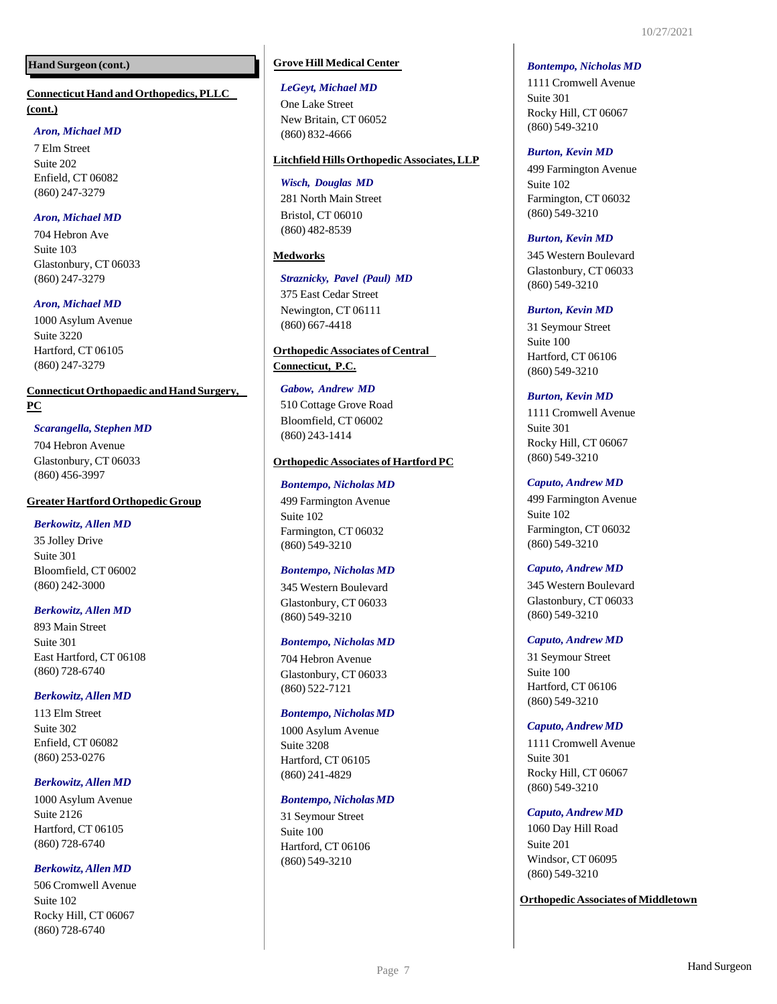## **Hand Surgeon (cont.)**

## **ConnecticutHand and Orthopedics,PLLC (cont.)**

## *Aron, Michael MD*

7 Elm Street Suite 202 Enfield, CT 06082 (860) 247-3279

## *Aron, Michael MD*

704 Hebron Ave Suite 103 Glastonbury, CT 06033 (860) 247-3279

## *Aron, Michael MD*

1000 Asylum Avenue Suite 3220 Hartford, CT 06105 (860) 247-3279

## **Connecticut Orthopaedic and Hand Surgery, PC**

## *Scarangella, Stephen MD*

704 Hebron Avenue Glastonbury, CT 06033 (860) 456-3997

## **Greater Hartford Orthopedic Group**

## *Berkowitz, Allen MD*

35 Jolley Drive Suite 301 Bloomfield, CT 06002 (860) 242-3000

## *Berkowitz, Allen MD*

893 Main Street Suite 301 East Hartford, CT 06108 (860) 728-6740

## *Berkowitz,Allen MD*

113 Elm Street Suite 302 Enfield, CT 06082 (860) 253-0276

## *Berkowitz,Allen MD*

1000 Asylum Avenue Suite 2126 Hartford, CT 06105 (860) 728-6740

## *Berkowitz,Allen MD*

506 Cromwell Avenue Suite 102 Rocky Hill, CT 06067 (860) 728-6740

## **Grove Hill Medical Center**

#### *LeGeyt, Michael MD*

One Lake Street New Britain, CT 06052 (860) 832-4666

## **Litchfield HillsOrthopedic Associates,LLP**

## *Wisch, Douglas MD*

281 North Main Street Bristol, CT 06010 (860) 482-8539

## **Medworks**

## *Straznicky, Pavel (Paul) MD*

375 East Cedar Street Newington, CT 06111 (860) 667-4418

## **Orthopedic Associates of Central**

**Connecticut, P.C.**

## *Gabow, Andrew MD* 510 Cottage Grove Road Bloomfield, CT 06002 (860) 243-1414

## **Orthopedic Associates of Hartford PC**

## *Bontempo, Nicholas MD*

499 Farmington Avenue Suite 102 Farmington, CT 06032 (860) 549-3210

## *Bontempo, Nicholas MD*

345 Western Boulevard Glastonbury, CT 06033 (860) 549-3210

## *Bontempo, Nicholas MD*

704 Hebron Avenue Glastonbury, CT 06033 (860) 522-7121

## *Bontempo, NicholasMD*

1000 Asylum Avenue Suite 3208 Hartford, CT 06105 (860) 241-4829

## *Bontempo, NicholasMD*

31 Seymour Street Suite 100 Hartford, CT 06106 (860) 549-3210

#### *Bontempo, Nicholas MD*

1111 Cromwell Avenue Suite 301 Rocky Hill, CT 06067 (860) 549-3210

## *Burton, Kevin MD*

499 Farmington Avenue Suite 102 Farmington, CT 06032 (860) 549-3210

## *Burton, Kevin MD*

345 Western Boulevard Glastonbury, CT 06033 (860) 549-3210

## *Burton, Kevin MD*

31 Seymour Street Suite 100 Hartford, CT 06106 (860) 549-3210

## *Burton, Kevin MD*

1111 Cromwell Avenue Suite 301 Rocky Hill, CT 06067 (860) 549-3210

## *Caputo, Andrew MD*

499 Farmington Avenue Suite 102 Farmington, CT 06032 (860) 549-3210

## *Caputo, Andrew MD*

345 Western Boulevard Glastonbury, CT 06033 (860) 549-3210

## *Caputo, Andrew MD*

31 Seymour Street Suite 100 Hartford, CT 06106 (860) 549-3210

## *Caputo, Andrew MD*

1111 Cromwell Avenue Suite 301 Rocky Hill, CT 06067 (860) 549-3210

## *Caputo, Andrew MD*

1060 Day Hill Road Suite 201 Windsor, CT 06095 (860) 549-3210

## **Orthopedic Associates of Middletown**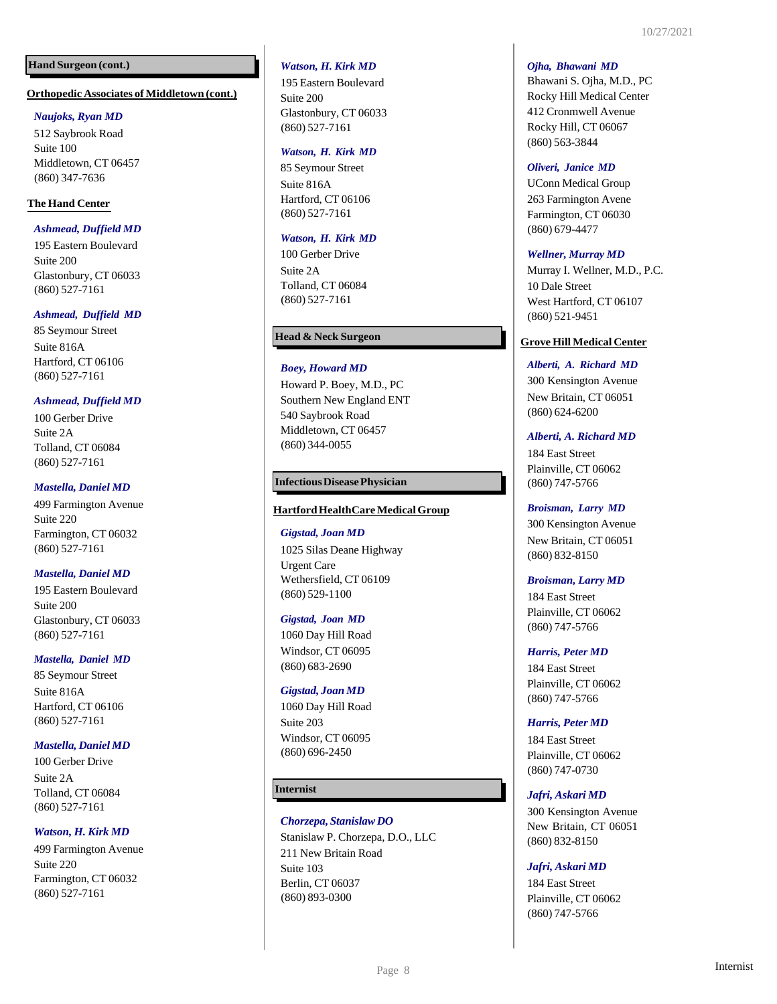## **Hand Surgeon (cont.)**

#### **Orthopedic Associates of Middletown (cont.)**

#### *Naujoks, Ryan MD*

512 Saybrook Road Suite 100 Middletown, CT 06457 (860) 347-7636

## **The Hand Center**

## *Ashmead, Duffield MD*

195 Eastern Boulevard Suite 200 Glastonbury, CT 06033 (860) 527-7161

## *Ashmead, Duffield MD*

85 Seymour Street Suite 816A Hartford, CT 06106 (860) 527-7161

## *Ashmead, Duffield MD*

100 Gerber Drive Suite 2A Tolland, CT 06084 (860) 527-7161

## *Mastella, Daniel MD*

499 Farmington Avenue Suite 220 Farmington, CT 06032 (860) 527-7161

#### *Mastella, Daniel MD*

195 Eastern Boulevard Suite 200 Glastonbury, CT 06033 (860) 527-7161

#### *Mastella, Daniel MD*

85 Seymour Street Suite 816A Hartford, CT 06106 (860) 527-7161

#### *Mastella, Daniel MD*

100 Gerber Drive Suite 2A Tolland, CT 06084 (860) 527-7161

## *Watson, H. Kirk MD*

499 Farmington Avenue Suite 220 Farmington, CT 06032 (860) 527-7161

#### *Watson, H. Kirk MD*

195 Eastern Boulevard Suite 200 Glastonbury, CT 06033 (860) 527-7161

#### *Watson, H. Kirk MD*

85 Seymour Street Suite 816A Hartford, CT 06106 (860) 527-7161

## *Watson, H. Kirk MD*

100 Gerber Drive Suite 2A Tolland, CT 06084 (860) 527-7161

#### **Head & Neck Surgeon**

## *Boey, Howard MD*

Howard P. Boey, M.D., PC Southern New England ENT 540 Saybrook Road Middletown, CT 06457 (860) 344-0055

## **InfectiousDiseasePhysician**

#### **HartfordHealthCareMedicalGroup**

#### *Gigstad, Joan MD*

1025 Silas Deane Highway Urgent Care Wethersfield, CT 06109 (860) 529-1100

#### *Gigstad, Joan MD*

1060 Day Hill Road Windsor, CT 06095 (860) 683-2690

#### *Gigstad, Joan MD*

1060 Day Hill Road Suite 203 Windsor, CT 06095 (860) 696-2450

#### **Internist**

#### *Chorzepa, Stanislaw DO*

Stanislaw P. Chorzepa, D.O., LLC 211 New Britain Road Suite 103 Berlin, CT 06037 (860) 893-0300

#### *Ojha, Bhawani MD*

Bhawani S. Ojha, M.D., PC Rocky Hill Medical Center 412 Cronmwell Avenue Rocky Hill, CT 06067 (860) 563-3844

#### *Oliveri, Janice MD*

UConn Medical Group 263 Farmington Avene Farmington, CT 06030 (860) 679-4477

#### *Wellner, Murray MD*

Murray I. Wellner, M.D., P.C. 10 Dale Street West Hartford, CT 06107 (860) 521-9451

#### **Grove Hill Medical Center**

*Alberti, A. Richard MD* 300 Kensington Avenue New Britain, CT 06051 (860) 624-6200

#### *Alberti, A. Richard MD*

184 East Street Plainville, CT 06062 (860) 747-5766

*Broisman, Larry MD* 300 Kensington Avenue New Britain, CT 06051 (860) 832-8150

#### *Broisman, Larry MD*

184 East Street Plainville, CT 06062 (860) 747-5766

*Harris, Peter MD* 184 East Street

Plainville, CT 06062 (860) 747-5766

## *Harris, Peter MD*

184 East Street Plainville, CT 06062 (860) 747-0730

#### *Jafri, Askari MD*

300 Kensington Avenue New Britain, CT 06051 (860) 832-8150

#### *Jafri, Askari MD*

184 East Street Plainville, CT 06062 (860) 747-5766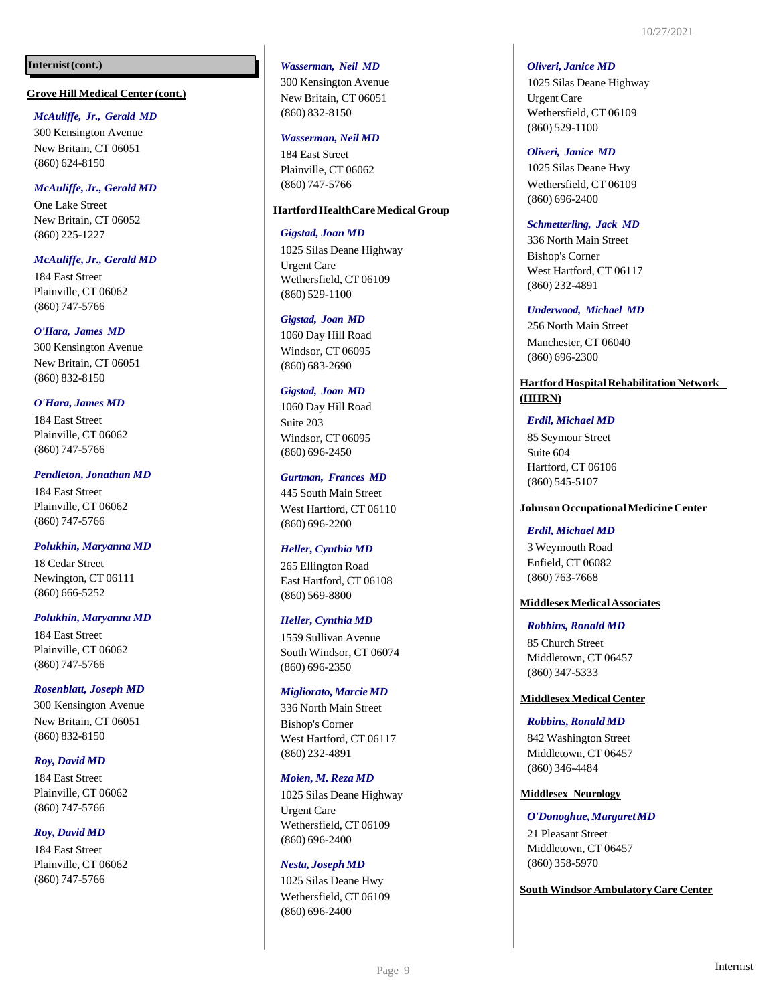## **Internist(cont.)**

#### **Grove Hill Medical Center (cont.)**

#### *McAuliffe, Jr., Gerald MD*

300 Kensington Avenue New Britain, CT 06051 (860) 624 -8150

#### *McAuliffe, Jr., Gerald MD*

One Lake Street New Britain, CT 06052 (860) 225 -1227

## *McAuliffe, Jr., Gerald MD*

184 East Street Plainville, CT 06062 (860) 747 -5766

#### *O'Hara, James MD*

300 Kensington Avenue New Britain, CT 06051 (860) 832 -8150

#### *O'Hara, James MD*

184 East Street Plainville, CT 06062 (860) 747 -5766

#### *Pendleton, Jonathan MD*

184 East Street Plainville, CT 06062 (860) 747 -5766

#### *Polukhin, Maryanna MD*

18 Cedar Street Newington, CT 06111 (860) 666 -5252

#### *Polukhin, Maryanna MD*

184 East Street Plainville, CT 06062 (860) 747 -5766

#### *Rosenblatt, Joseph MD*

300 Kensington Avenue New Britain, CT 06051 (860) 832 -8150

## *Roy, David MD*

184 East Street Plainville, CT 06062 (860) 747 -5766

## *Roy, David MD*

184 East Street Plainville, CT 06062 (860) 747 -5766

#### *Wasserman, Neil MD*

300 Kensington Avenue New Britain, CT 06051 (860) 832 -8150

## *Wasserman, Neil MD*

184 East Street Plainville, CT 06062 (860) 747 -5766

## **HartfordHealthCareMedicalGroup**

#### *Gigstad, Joan MD*

1025 Silas Deane Highway Urgent Care Wethersfield, CT 06109 (860) 529 -1100

#### *Gigstad, Joan MD*

1060 Day Hill Road Windsor, CT 06095 (860) 683 -2690

## *Gigstad, Joan MD*

1060 Day Hill Road Suite 203 Windsor, CT 06095 (860) 696 -2450

#### *Gurtman, Frances MD*

445 South Main Street West Hartford, CT 06110 (860) 696 -2200

#### *Heller, Cynthia MD*

265 Ellington Road East Hartford, CT 06108 (860) 569 -8800

#### *Heller, Cynthia MD*

1559 Sullivan Avenue South Windsor, CT 06074 (860) 696 -2350

#### *Migliorato, Marcie MD*

336 North Main Street Bishop's Corner West Hartford, CT 06117 (860) 232 -4891

#### *Moien, M. Reza MD*

1025 Silas Deane Highway Urgent Care Wethersfield, CT 06109 (860) 696 -2400

#### *Nesta, Joseph MD*

1025 Silas Deane Hwy Wethersfield, CT 06109 (860) 696 -2400

#### *Oliveri, Janice MD*

1025 Silas Deane Highway Urgent Care Wethersfield, CT 06109 (860) 529 -1100

#### *Oliveri, Janice MD*

1025 Silas Deane Hwy Wethersfield, CT 06109 (860) 696 -2400

#### *Schmetterling, Jack MD*

336 North Main Street Bishop's Corner West Hartford, CT 06117 (860) 232 -4891

#### *Underwood, Michael MD*

256 North Main Street Manchester, CT 06040 (860) 696 -2300

## **HartfordHospitalRehabilitationNetwork (HHRN)**

#### *Erdil, Michael MD*

85 Seymour Street Suite 604 Hartford, CT 06106 (860) 545 -5107

#### **JohnsonOccupationalMedicineCenter**

#### *Erdil, Michael MD*

3 Weymouth Road Enfield, CT 06082 (860) 763 -7668

#### **MiddlesexMedicalAssociates**

## *Robbins, Ronald MD*

85 Church Street Middletown, CT 06457 (860) 347 -5333

#### **MiddlesexMedicalCenter**

*Robbins, Ronald MD* 842 Washington Street Middletown, CT 06457 (860) 346 -4484

## **Middlesex Neurology**

*O'Donoghue,MargaretMD* 21 Pleasant Street Middletown, CT 06457 (860) 358 -5970

**SouthWindsor Ambulatory Care Center**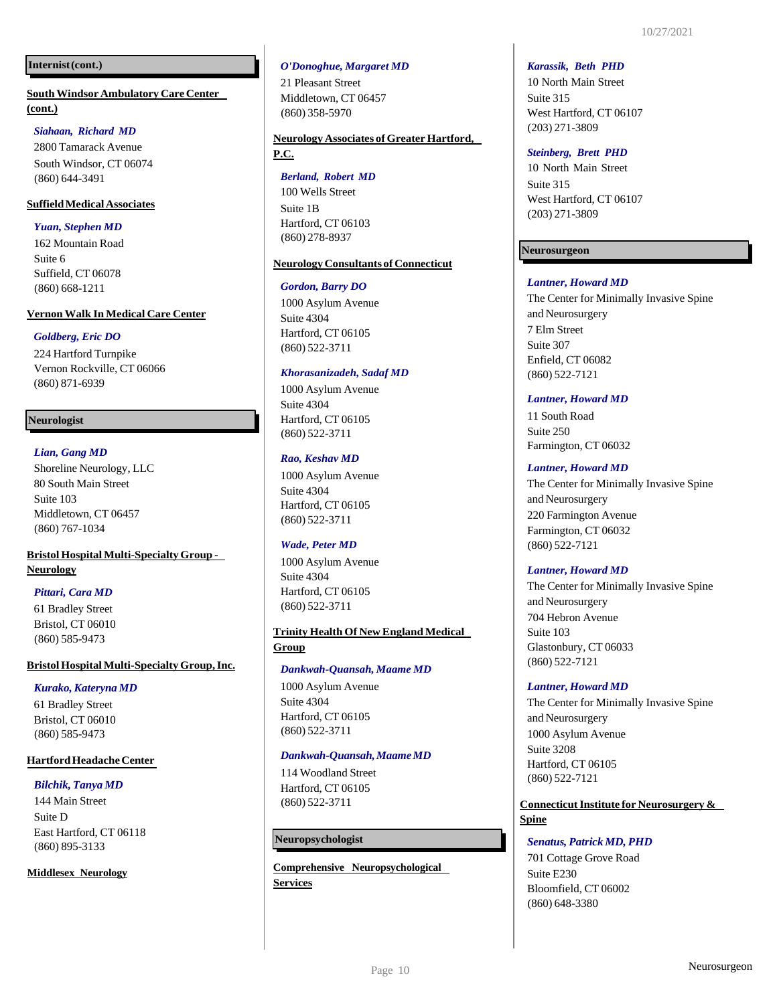## **Internist(cont.)**

**SouthWindsor Ambulatory Care Center (cont.)**

## *Siahaan, Richard MD*

2800 Tamarack Avenue South Windsor, CT 06074 (860) 644-3491

## **SuffieldMedicalAssociates**

*Yuan, Stephen MD*

162 Mountain Road Suite 6 Suffield, CT 06078 (860) 668-1211

#### **Vernon Walk In Medical Care Center**

## *Goldberg, Eric DO*

224 Hartford Turnpike Vernon Rockville, CT 06066 (860) 871-6939

## **Neurologist**

## *Lian, Gang MD* Shoreline Neurology, LLC 80 South Main Street Suite 103 Middletown, CT 06457 (860) 767-1034

**Bristol Hospital Multi-SpecialtyGroup - Neurology**

## *Pittari, Cara MD*

61 Bradley Street Bristol, CT 06010 (860) 585-9473

#### **BristolHospitalMulti-SpecialtyGroup,Inc.**

#### $Kurako, Kateryna MD$

61 Bradley Street Bristol, CT 06010 (860) 585-9473

#### **HartfordHeadacheCenter**

#### *Bilchik, Tanya MD*

144 Main Street Suite D East Hartford, CT 06118 (860) 895-3133

#### **Middlesex Neurology**

#### *O'Donoghue, Margaret MD*

21 Pleasant Street Middletown, CT 06457 (860) 358-5970

## **Neurology Associates of Greater Hartford, P.C.**

#### *Berland, Robert MD*

100 Wells Street Suite 1B Hartford, CT 06103 (860) 278-8937

## **Neurology Consultants of Connecticut**

#### *Gordon, Barry DO*

1000 Asylum Avenue Suite 4304 Hartford, CT 06105 (860) 522-3711

## *Khorasanizadeh, Sadaf MD*

1000 Asylum Avenue Suite 4304 Hartford, CT 06105 (860) 522-3711

## *Rao, Keshav MD*

1000 Asylum Avenue Suite 4304 Hartford, CT 06105 (860) 522-3711

#### *Wade, Peter MD*

1000 Asylum Avenue Suite 4304 Hartford, CT 06105 (860) 522-3711

## **Trinity Health Of New England Medical Group**

#### *Dankwah-Quansah, Maame MD*

1000 Asylum Avenue Suite 4304 Hartford, CT 06105 (860) 522-3711

#### *Dankwah-Quansah,MaameMD*

114 Woodland Street Hartford, CT 06105 (860) 522-3711

## **Neuropsychologist**

**Comprehensive Neuropsychological Services**

#### *Karassik, Beth PHD*

10 North Main Street Suite 315 West Hartford, CT 06107 (203) 271-3809

#### *Steinberg, Brett PHD*

10 North Main Street Suite 315 West Hartford, CT 06107 (203) 271-3809

## **Neurosurgeon**

## *Lantner, Howard MD*

The Center for Minimally Invasive Spine and Neurosurgery 7 Elm Street Suite 307 Enfield, CT 06082 (860) 522-7121

#### *Lantner, Howard MD*

11 South Road Suite 250 Farmington, CT 06032

#### *Lantner, Howard MD*

The Center for Minimally Invasive Spine and Neurosurgery 220 Farmington Avenue Farmington, CT 06032 (860) 522-7121

#### *Lantner, Howard MD*

The Center for Minimally Invasive Spine and Neurosurgery 704 Hebron Avenue Suite 103 Glastonbury, CT 06033 (860) 522-7121

#### *Lantner, Howard MD*

The Center for Minimally Invasive Spine and Neurosurgery 1000 Asylum Avenue Suite 3208 Hartford, CT 06105 (860) 522-7121

## **Connecticut Institute for Neurosurgery & Spine**

#### *Senatus, Patrick MD, PHD*

701 Cottage Grove Road Suite E230 Bloomfield, CT 06002 (860) 648-3380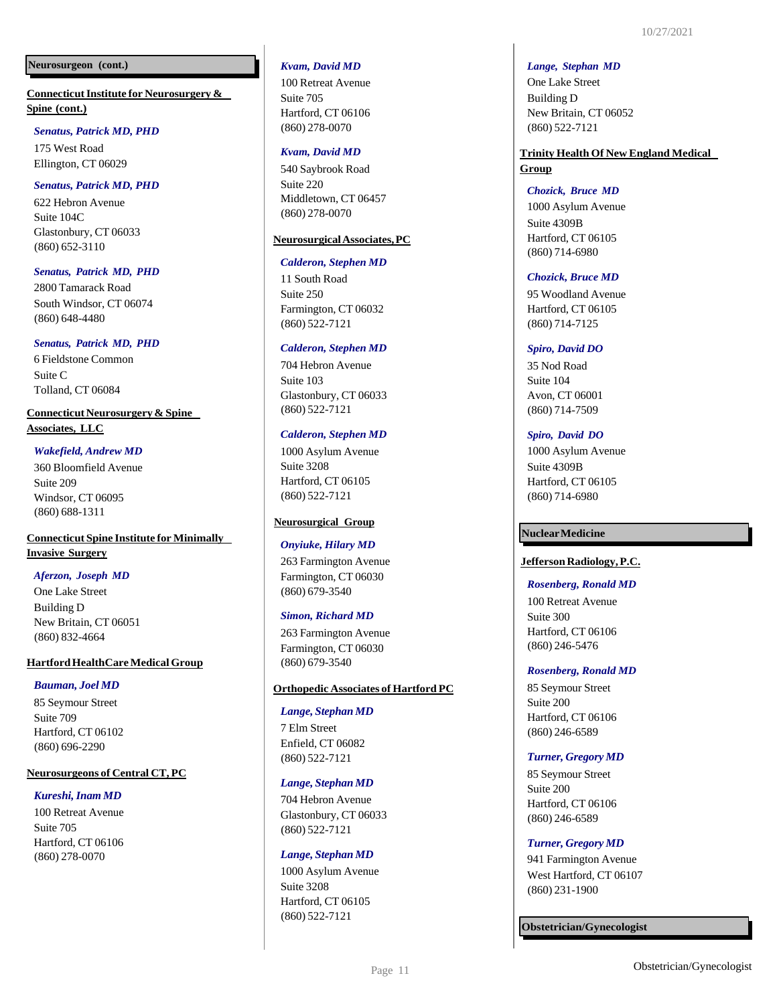#### **Neurosurgeon (cont.)**

**ConnecticutInstitute for Neurosurgery & Spine (cont.)**

## *Senatus, Patrick MD, PHD*

175 West Road Ellington, CT 06029

## *Senatus, Patrick MD, PHD*

622 Hebron Avenue Suite 104C Glastonbury, CT 06033 (860) 652-3110

## *Senatus, Patrick MD, PHD*

2800 Tamarack Road South Windsor, CT 06074 (860) 648-4480

## *Senatus, Patrick MD, PHD*

6 Fieldstone Common Suite C Tolland, CT 06084

## **Connecticut Neurosurgery & Spine**

**Associates, LLC**

## *Wakefield, Andrew MD*

360 Bloomfield Avenue Suite 209 Windsor, CT 06095 (860) 688-1311

## **Connecticut Spine Institute for Minimally Invasive Surgery**

#### *Aferzon, Joseph MD*

One Lake Street Building D New Britain, CT 06051 (860) 832-4664

## **Hartford HealthCare Medical Group**

## *Bauman, Joel MD*

85 Seymour Street Suite 709 Hartford, CT 06102 (860) 696-2290

## **Neurosurgeons of Central CT, PC**

## *Kureshi,Inam MD*

100 Retreat Avenue Suite 705 Hartford, CT 06106 (860) 278-0070

#### *Kvam, David MD*

100 Retreat Avenue Suite 705 Hartford, CT 06106 (860) 278-0070

#### *Kvam, David MD*

540 Saybrook Road Suite 220 Middletown, CT 06457 (860) 278-0070

#### **NeurosurgicalAssociates,PC**

#### *Calderon, Stephen MD*

11 South Road Suite 250 Farmington, CT 06032 (860) 522-7121

#### *Calderon, Stephen MD*

704 Hebron Avenue Suite 103 Glastonbury, CT 06033 (860) 522-7121

## *Calderon, Stephen MD*

1000 Asylum Avenue Suite 3208 Hartford, CT 06105 (860) 522-7121

## **Neurosurgical Group**

#### *Onyiuke, Hilary MD*

263 Farmington Avenue Farmington, CT 06030 (860) 679-3540

#### *Simon, Richard MD*

263 Farmington Avenue Farmington, CT 06030 (860) 679-3540

## **Orthopedic Associates of Hartford PC**

#### *Lange, Stephan MD*

7 Elm Street Enfield, CT 06082 (860) 522-7121

#### *Lange, Stephan MD*

704 Hebron Avenue Glastonbury, CT 06033 (860) 522-7121

#### *Lange, Stephan MD*

1000 Asylum Avenue Suite 3208 Hartford, CT 06105 (860) 522-7121

#### *Lange, Stephan MD*

One Lake Street Building D New Britain, CT 06052 (860) 522-7121

## **Trinity Health Of New England Medical Group**

#### *Chozick, Bruce MD*

1000 Asylum Avenue Suite 4309B Hartford, CT 06105 (860) 714-6980

#### *Chozick, Bruce MD*

95 Woodland Avenue Hartford, CT 06105 (860) 714-7125

#### *Spiro, David DO*

35 Nod Road Suite 104 Avon, CT 06001 (860) 714-7509

#### *Spiro, David DO*

1000 Asylum Avenue Suite 4309B Hartford, CT 06105 (860) 714-6980

## **NuclearMedicine**

## **JeffersonRadiology,P.C.**

#### *Rosenberg, Ronald MD*

100 Retreat Avenue Suite 300 Hartford, CT 06106 (860) 246-5476

#### *Rosenberg, Ronald MD*

85 Seymour Street Suite 200 Hartford, CT 06106 (860) 246-6589

#### *Turner, Gregory MD*

85 Seymour Street Suite 200 Hartford, CT 06106 (860) 246-6589

#### *Turner, Gregory MD*

941 Farmington Avenue West Hartford, CT 06107 (860) 231-1900

**Obstetrician/Gynecologist**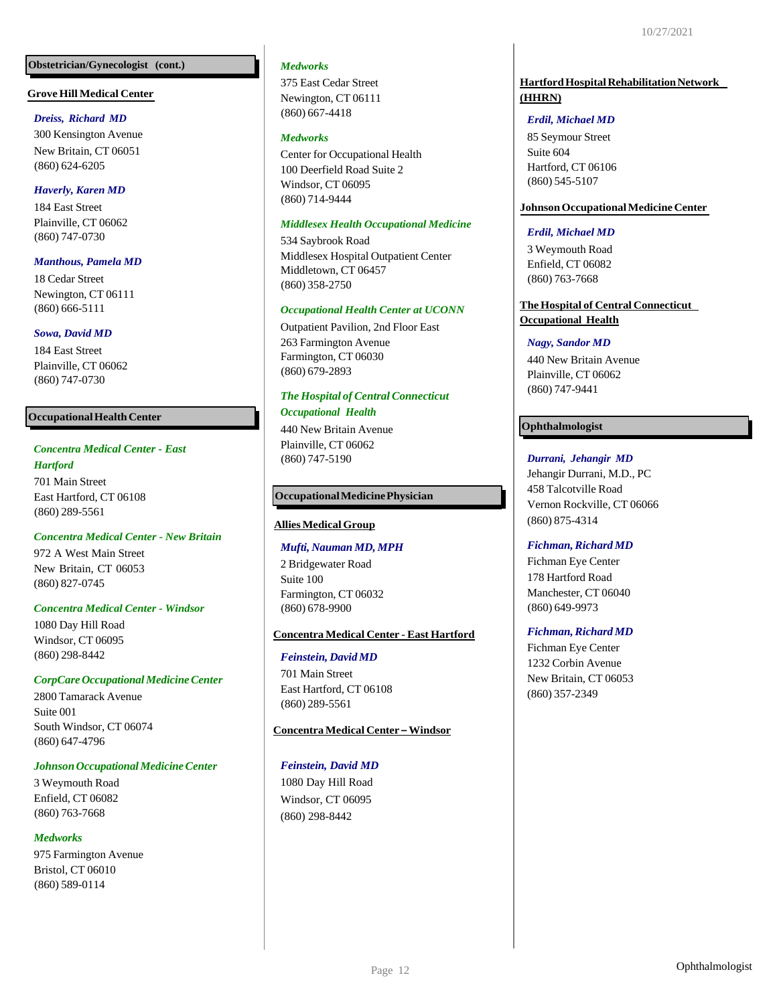## **Obstetrician/Gynecologist (cont.)**

#### **Grove Hill Medical Center**

#### *Dreiss, Richard MD*

300 Kensington Avenue New Britain, CT 06051 (860) 624-6205

## *Haverly, Karen MD*

184 East Street Plainville, CT 06062 (860) 747-0730

## *Manthous, Pamela MD*

18 Cedar Street Newington, CT 06111 (860) 666-5111

## *Sowa, David MD*

184 East Street Plainville, CT 06062 (860) 747-0730

## **Occupational Health Center**

## *Concentra Medical Center - East*

*Hartford*

701 Main Street East Hartford, CT 06108 (860) 289-5561

#### *Concentra Medical Center - New Britain*

972 A West Main Street New Britain, CT 06053 (860) 827-0745

#### *Concentra Medical Center - Windsor*

1080 Day Hill Road Windsor, CT 06095 (860) 298-8442

## *CorpCareOccupationalMedicineCenter*

2800 Tamarack Avenue Suite 001 South Windsor, CT 06074 (860) 647-4796

## *JohnsonOccupationalMedicineCenter*

3 Weymouth Road Enfield, CT 06082 (860) 763-7668

## *Medworks*

975 Farmington Avenue Bristol, CT 06010 (860) 589-0114

#### *Medworks*

375 East Cedar Street Newington, CT 06111 (860) 667-4418

## *Medworks*

Center for Occupational Health 100 Deerfield Road Suite 2 Windsor, CT 06095 (860) 714-9444

## *Middlesex Health Occupational Medicine*

534 Saybrook Road Middlesex Hospital Outpatient Center Middletown, CT 06457 (860) 358-2750

## *Occupational Health Center at UCONN*

Outpatient Pavilion, 2nd Floor East 263 Farmington Avenue Farmington, CT 06030 (860) 679-2893

## *The Hospital of Central Connecticut Occupational Health*

440 New Britain Avenue Plainville, CT 06062 (860) 747-5190

## **OccupationalMedicinePhysician**

## **Allies Medical Group**

## *Mufti, Nauman MD, MPH*

2 Bridgewater Road Suite 100 Farmington, CT 06032 (860) 678-9900

## **Concentra Medical Center - East Hartford**

## *Feinstein, David MD*

701 Main Street East Hartford, CT 06108 (860) 289-5561

## **Concentra Medical Center –Windsor**

## *Feinstein, David MD*

1080 Day Hill Road Windsor, CT 06095 (860) 298-8442

## **HartfordHospitalRehabilitationNetwork (HHRN)**

## *Erdil, Michael MD*

85 Seymour Street Suite 604 Hartford, CT 06106 (860) 545-5107

## **JohnsonOccupationalMedicineCenter**

## *Erdil, Michael MD*

3 Weymouth Road Enfield, CT 06082 (860) 763-7668

## **The Hospital of Central Connecticut Occupational Health**

## *Nagy, Sandor MD*

440 New Britain Avenue Plainville, CT 06062 (860) 747-9441

## **Ophthalmologist**

*Durrani, Jehangir MD* Jehangir Durrani, M.D., PC 458 Talcotville Road

Vernon Rockville, CT 06066 (860) 875-4314

#### $Fichman, Richard *MD*$

Fichman Eye Center 178 Hartford Road Manchester, CT 06040 (860) 649-9973

## $Fichman, Richard MD$

Fichman Eye Center 1232 Corbin Avenue New Britain, CT 06053 (860) 357-2349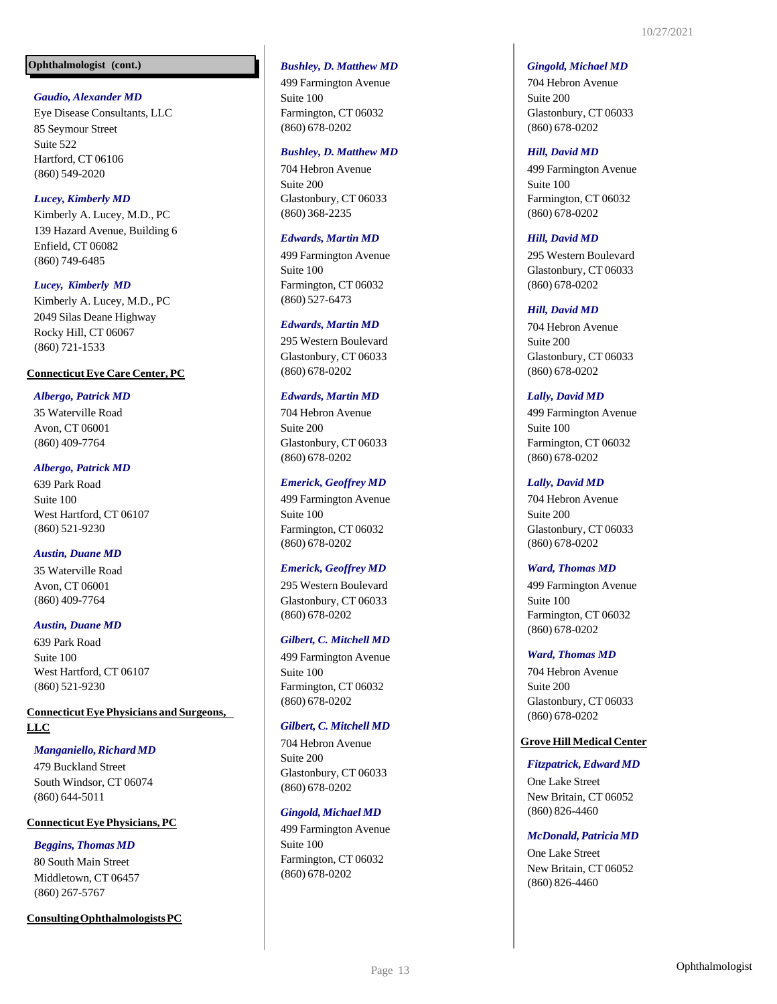## **Ophthalmologist (cont.)**

## *Gaudio, Alexander MD*

Eye Disease Consultants, LLC 85 Seymour Street Suite 522 Hartford, CT 06106 (860) 549-2020

## *Lucey, Kimberly MD*

Kimberly A. Lucey, M.D., PC 139 Hazard Avenue, Building 6 Enfield, CT 06082 (860) 749-6485

#### *Lucey, Kimberly MD*

Kimberly A. Lucey, M.D., PC 2049 Silas Deane Highway Rocky Hill, CT 06067 (860) 721-1533

#### **ConnecticutEye Care Center, PC**

## *Albergo, Patrick MD*

35 Waterville Road Avon, CT 06001 (860) 409-7764

#### *Albergo, Patrick MD*

639 Park Road Suite 100 West Hartford, CT 06107 (860) 521-9230

#### *Austin, Duane MD*

35 Waterville Road Avon, CT 06001 (860) 409-7764

## *Austin, Duane MD*

639 Park Road Suite 100 West Hartford, CT 06107 (860) 521-9230

## **ConnecticutEye Physicians and Surgeons, LLC**

## *Manganiello,Richard MD*

479 Buckland Street South Windsor, CT 06074 (860) 644-5011

#### **ConnecticutEye Physicians, PC**

## *Beggins, Thomas MD*

80 South Main Street Middletown, CT 06457 (860) 267-5767

**ConsultingOphthalmologistsPC**

#### *Bushley, D. Matthew MD*

499 Farmington Avenue Suite 100 Farmington, CT 06032 (860) 678-0202

#### *Bushley, D. Matthew MD*

704 Hebron Avenue Suite 200 Glastonbury, CT 06033 (860) 368-2235

#### *Edwards, Martin MD*

499 Farmington Avenue Suite 100 Farmington, CT 06032 (860) 527-6473

#### *Edwards, Martin MD*

295 Western Boulevard Glastonbury, CT 06033 (860) 678-0202

#### *Edwards, Martin MD*

704 Hebron Avenue Suite 200 Glastonbury, CT 06033 (860) 678-0202

#### *Emerick, Geoffrey MD*

499 Farmington Avenue Suite 100 Farmington, CT 06032 (860) 678-0202

#### *Emerick, Geoffrey MD*

295 Western Boulevard Glastonbury, CT 06033 (860) 678-0202

## *Gilbert, C. Mitchell MD*

499 Farmington Avenue Suite 100 Farmington, CT 06032 (860) 678-0202

#### *Gilbert, C. Mitchell MD*

704 Hebron Avenue Suite 200 Glastonbury, CT 06033 (860) 678-0202

#### *Gingold, Michael MD*

499 Farmington Avenue Suite 100 Farmington, CT 06032 (860) 678-0202

#### *Gingold, Michael MD*

704 Hebron Avenue Suite 200 Glastonbury, CT 06033 (860) 678-0202

#### *Hill, David MD*

499 Farmington Avenue Suite 100 Farmington, CT 06032 (860) 678-0202

#### *Hill, David MD*

295 Western Boulevard Glastonbury, CT 06033 (860) 678-0202

#### *Hill, David MD*

704 Hebron Avenue Suite 200 Glastonbury, CT 06033 (860) 678-0202

#### *Lally, David MD*

499 Farmington Avenue Suite 100 Farmington, CT 06032 (860) 678-0202

#### *Lally, David MD*

704 Hebron Avenue Suite 200 Glastonbury, CT 06033 (860) 678-0202

#### *Ward, Thomas MD*

499 Farmington Avenue Suite 100 Farmington, CT 06032 (860) 678-0202

#### *Ward, Thomas MD*

704 Hebron Avenue Suite 200 Glastonbury, CT 06033 (860) 678-0202

#### **Grove Hill Medical Center**

#### *Fitzpatrick,Edward MD*

One Lake Street New Britain, CT 06052 (860) 826-4460

#### *McDonald,Patricia MD*

One Lake Street New Britain, CT 06052 (860) 826-4460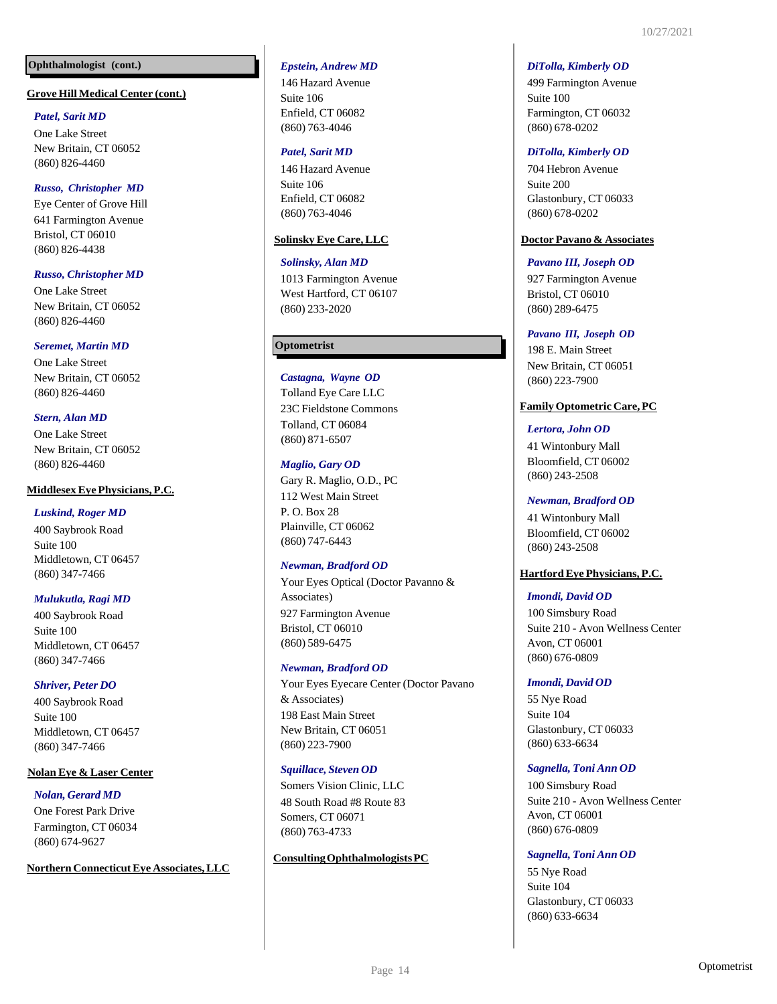## **Ophthalmologist (cont.)**

#### **Grove Hill Medical Center (cont.)**

## *Patel, Sarit MD*

One Lake Street New Britain, CT 06052 (860) 826-4460

## *Russo, Christopher MD*

Eye Center of Grove Hill 641 Farmington Avenue Bristol, CT 06010 (860) 826-4438

## *Russo, Christopher MD*

One Lake Street New Britain, CT 06052 (860) 826-4460

## *Seremet, Martin MD*

One Lake Street New Britain, CT 06052 (860) 826-4460

## *Stern, Alan MD*

One Lake Street New Britain, CT 06052 (860) 826-4460

## **MiddlesexEye Physicians, P.C.**

#### *Luskind, Roger MD*

400 Saybrook Road Suite 100 Middletown, CT 06457 (860) 347-7466

## *Mulukutla, Ragi MD*

400 Saybrook Road Suite 100 Middletown, CT 06457 (860) 347-7466

## *Shriver, Peter DO*

400 Saybrook Road Suite 100 Middletown, CT 06457 (860) 347-7466

#### **Nolan Eye & Laser Center**

*Nolan, Gerard MD* One Forest Park Drive Farmington, CT 06034 (860) 674-9627

#### **Northern ConnecticutEye Associates,LLC**

## *Epstein, Andrew MD*

146 Hazard Avenue Suite 106 Enfield, CT 06082 (860) 763-4046

#### *Patel, Sarit MD*

146 Hazard Avenue Suite 106 Enfield, CT 06082 (860) 763-4046

## **Solinsky Eye Care, LLC**

#### *Solinsky, Alan MD*

1013 Farmington Avenue West Hartford, CT 06107 (860) 233-2020

## **Optometrist**

*Castagna, Wayne OD* Tolland Eye Care LLC 23C Fieldstone Commons Tolland, CT 06084 (860) 871-6507

## *Maglio, Gary OD*

Gary R. Maglio, O.D., PC 112 West Main Street P. O. Box 28 Plainville, CT 06062 (860) 747-6443

#### *Newman, Bradford OD*

Your Eyes Optical (Doctor Pavanno & Associates) 927 Farmington Avenue Bristol, CT 06010 (860) 589-6475

#### *Newman, Bradford OD*

Your Eyes Eyecare Center (Doctor Pavano & Associates) 198 East Main Street New Britain, CT 06051 (860) 223-7900

## *Squillace, Steven OD*

Somers Vision Clinic, LLC 48 South Road #8 Route 83 Somers, CT 06071 (860) 763-4733

## **ConsultingOphthalmologistsPC**

#### *DiTolla, Kimberly OD*

499 Farmington Avenue Suite 100 Farmington, CT 06032 (860) 678-0202

#### *DiTolla, Kimberly OD*

704 Hebron Avenue Suite 200 Glastonbury, CT 06033 (860) 678-0202

#### **Doctor Pavano & Associates**

## *Pavano III, Joseph OD*

927 Farmington Avenue Bristol, CT 06010 (860) 289-6475

#### *Pavano III, Joseph OD*

198 E. Main Street New Britain, CT 06051 (860) 223-7900

## **FamilyOptometric Care,PC**

## *Lertora, John OD*

41 Wintonbury Mall Bloomfield, CT 06002 (860) 243-2508

#### *Newman, Bradford OD*

41 Wintonbury Mall Bloomfield, CT 06002 (860) 243-2508

#### **HartfordEye Physicians, P.C.**

## *Imondi, David OD*

100 Simsbury Road Suite 210 - Avon Wellness Center Avon, CT 06001 (860) 676-0809

#### *Imondi, David OD*

55 Nye Road Suite 104 Glastonbury, CT 06033 (860) 633-6634

## *Sagnella, Toni Ann OD*

100 Simsbury Road Suite 210 - Avon Wellness Center Avon, CT 06001 (860) 676-0809

## *Sagnella, Toni Ann OD*

55 Nye Road Suite 104 Glastonbury, CT 06033 (860) 633-6634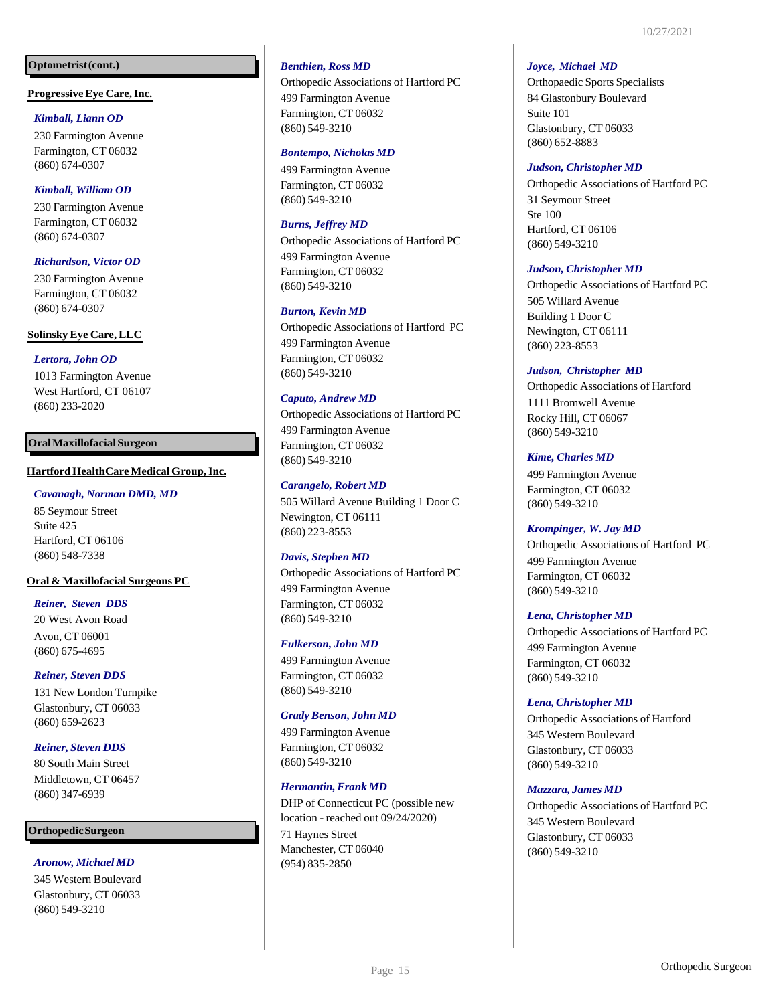## **Optometrist(cont.)**

## **Progressive Eye Care,Inc.**

## *Kimball, Liann OD*

230 Farmington Avenue Farmington, CT 06032 (860) 674-0307

## *Kimball, William OD*

230 Farmington Avenue Farmington, CT 06032 (860) 674-0307

## *Richardson, Victor OD*

230 Farmington Avenue Farmington, CT 06032 (860) 674-0307

## **Solinsky Eye Care, LLC**

## *Lertora, John OD*

1013 Farmington Avenue West Hartford, CT 06107 (860) 233-2020

## **OralMaxillofacialSurgeon**

## **HartfordHealthCare MedicalGroup,Inc.**

#### *Cavanagh, Norman DMD, MD*

85 Seymour Street Suite 425 Hartford, CT 06106 (860) 548-7338

## **Oral & Maxillofacial Surgeons PC**

## *Reiner, Steven DDS*

20 West Avon Road Avon, CT 06001 (860) 675-4695

## *Reiner, Steven DDS*

131 New London Turnpike Glastonbury, CT 06033 (860) 659-2623

## *Reiner, Steven DDS*

80 South Main Street Middletown, CT 06457 (860) 347-6939

## **OrthopedicSurgeon**

## *Aronow, Michael MD*

345 Western Boulevard Glastonbury, CT 06033 (860) 549-3210

## *Benthien, Ross MD*

Orthopedic Associations of Hartford PC 499 Farmington Avenue Farmington, CT 06032 (860) 549-3210

#### *Bontempo, Nicholas MD*

499 Farmington Avenue Farmington, CT 06032 (860) 549-3210

## *Burns, Jeffrey MD*

Orthopedic Associations of Hartford PC 499 Farmington Avenue Farmington, CT 06032 (860) 549-3210

#### *Burton, Kevin MD*

Orthopedic Associations of Hartford PC 499 Farmington Avenue Farmington, CT 06032 (860) 549-3210

## *Caputo, Andrew MD*

Orthopedic Associations of Hartford PC 499 Farmington Avenue Farmington, CT 06032 (860) 549-3210

## *Carangelo, Robert MD*

505 Willard Avenue Building 1 Door C Newington, CT 06111 (860) 223-8553

#### *Davis, Stephen MD*

Orthopedic Associations of Hartford PC 499 Farmington Avenue Farmington, CT 06032 (860) 549-3210

#### *Fulkerson, John MD*

499 Farmington Avenue Farmington, CT 06032 (860) 549-3210

#### *Grady Benson, John MD*

499 Farmington Avenue Farmington, CT 06032 (860) 549-3210

#### *Hermantin,Frank MD*

DHP of Connecticut PC (possible new location - reached out 09/24/2020) 71 Haynes Street Manchester, CT 06040 (954) 835-2850

#### *Joyce, Michael MD*

Orthopaedic Sports Specialists 84 Glastonbury Boulevard Suite 101 Glastonbury, CT 06033 (860) 652-8883

#### *Judson, Christopher MD*

Orthopedic Associations of Hartford PC 31 Seymour Street Ste 100 Hartford, CT 06106 (860) 549-3210

#### *Judson, Christopher MD*

Orthopedic Associations of Hartford PC 505 Willard Avenue Building 1 Door C Newington, CT 06111 (860) 223-8553

#### *Judson, Christopher MD*

Orthopedic Associations of Hartford 1111 Bromwell Avenue Rocky Hill, CT 06067 (860) 549-3210

## *Kime, Charles MD*

499 Farmington Avenue Farmington, CT 06032 (860) 549-3210

#### *Krompinger, W. Jay MD*

Orthopedic Associations of Hartford PC 499 Farmington Avenue Farmington, CT 06032 (860) 549-3210

#### *Lena, Christopher MD*

Orthopedic Associations of Hartford PC 499 Farmington Avenue Farmington, CT 06032 (860) 549-3210

#### *Lena,Christopher MD*

Orthopedic Associations of Hartford 345 Western Boulevard Glastonbury, CT 06033 (860) 549-3210

#### *Mazzara, James MD*

Orthopedic Associations of Hartford PC 345 Western Boulevard Glastonbury, CT 06033 (860) 549-3210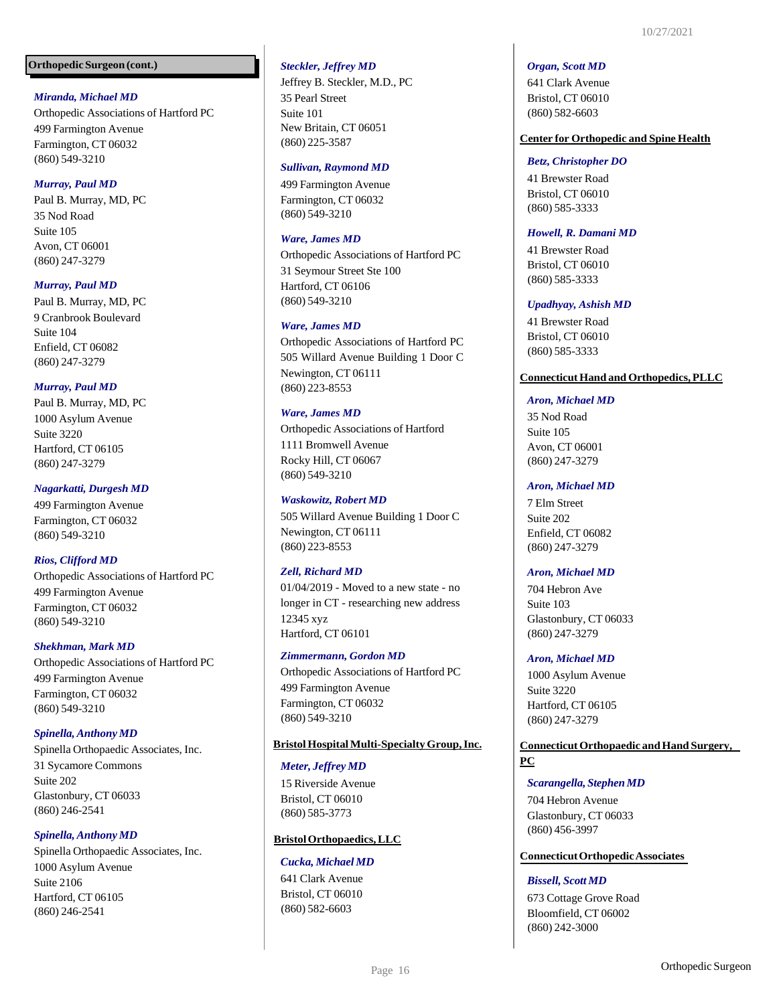## *Miranda, Michael MD*

Orthopedic Associations of Hartford PC 499 Farmington Avenue Farmington, CT 06032 (860) 549-3210

## *Murray, Paul MD*

Paul B. Murray, MD, PC 35 Nod Road Suite 105 Avon, CT 06001 (860) 247-3279

## *Murray, Paul MD*

Paul B. Murray, MD, PC 9 Cranbrook Boulevard Suite 104 Enfield, CT 06082 (860) 247-3279

## *Murray, Paul MD*

Paul B. Murray, MD, PC 1000 Asylum Avenue Suite 3220 Hartford, CT 06105 (860) 247-3279

## *Nagarkatti, Durgesh MD*

499 Farmington Avenue Farmington, CT 06032 (860) 549-3210

#### *Rios, Clifford MD*

Orthopedic Associations of Hartford PC 499 Farmington Avenue Farmington, CT 06032 (860) 549-3210

## *Shekhman, Mark MD*

Orthopedic Associations of Hartford PC 499 Farmington Avenue Farmington, CT 06032 (860) 549-3210

## *Spinella,Anthony MD*

Spinella Orthopaedic Associates, Inc. 31 Sycamore Commons Suite 202 Glastonbury, CT 06033 (860) 246-2541

## *Spinella,Anthony MD*

Spinella Orthopaedic Associates, Inc. 1000 Asylum Avenue Suite 2106 Hartford, CT 06105 (860) 246-2541

## *Steckler, Jeffrey MD*

Jeffrey B. Steckler, M.D., PC 35 Pearl Street Suite 101 New Britain, CT 06051 (860) 225-3587

#### *Sullivan, Raymond MD*

499 Farmington Avenue Farmington, CT 06032 (860) 549-3210

#### *Ware, James MD*

Orthopedic Associations of Hartford PC 31 Seymour Street Ste 100 Hartford, CT 06106 (860) 549-3210

#### *Ware, James MD*

Orthopedic Associations of Hartford PC 505 Willard Avenue Building 1 Door C Newington, CT 06111 (860) 223-8553

#### *Ware, James MD*

Orthopedic Associations of Hartford 1111 Bromwell Avenue Rocky Hill, CT 06067 (860) 549-3210

## *Waskowitz, Robert MD*

505 Willard Avenue Building 1 Door C Newington, CT 06111 (860) 223-8553

#### *Zell, Richard MD*

01/04/2019 - Moved to a new state - no longer in CT - researching new address 12345 xyz Hartford, CT 06101

#### *Zimmermann, Gordon MD*

Orthopedic Associations of Hartford PC 499 Farmington Avenue Farmington, CT 06032 (860) 549-3210

## **BristolHospitalMulti-SpecialtyGroup,Inc.**

#### *Meter, Jeffrey MD*

15 Riverside Avenue Bristol, CT 06010 (860) 585-3773

#### **BristolOrthopaedics,LLC**

#### *Cucka, Michael MD*

641 Clark Avenue Bristol, CT 06010 (860) 582-6603

#### *Organ, Scott MD*

641 Clark Avenue Bristol, CT 06010 (860) 582-6603

#### **Center for Orthopedic and Spine Health**

#### *Betz, Christopher DO*

41 Brewster Road Bristol, CT 06010 (860) 585-3333

#### *Howell, R. Damani MD*

41 Brewster Road Bristol, CT 06010 (860) 585-3333

#### *Upadhyay, Ashish MD*

41 Brewster Road Bristol, CT 06010 (860) 585-3333

#### **ConnecticutHand and Orthopedics,PLLC**

#### *Aron, Michael MD*

35 Nod Road Suite 105 Avon, CT 06001 (860) 247-3279

#### *Aron, Michael MD*

7 Elm Street Suite 202 Enfield, CT 06082 (860) 247-3279

#### *Aron, Michael MD*

704 Hebron Ave Suite 103 Glastonbury, CT 06033 (860) 247-3279

#### *Aron, Michael MD*

1000 Asylum Avenue Suite 3220 Hartford, CT 06105 (860) 247-3279

## **Connecticut Orthopaedic and Hand Surgery, PC**

#### *Scarangella, StephenMD*

704 Hebron Avenue Glastonbury, CT 06033 (860) 456-3997

## **ConnecticutOrthopedicAssociates**

## *Bissell, Scott MD*

673 Cottage Grove Road Bloomfield, CT 06002 (860) 242-3000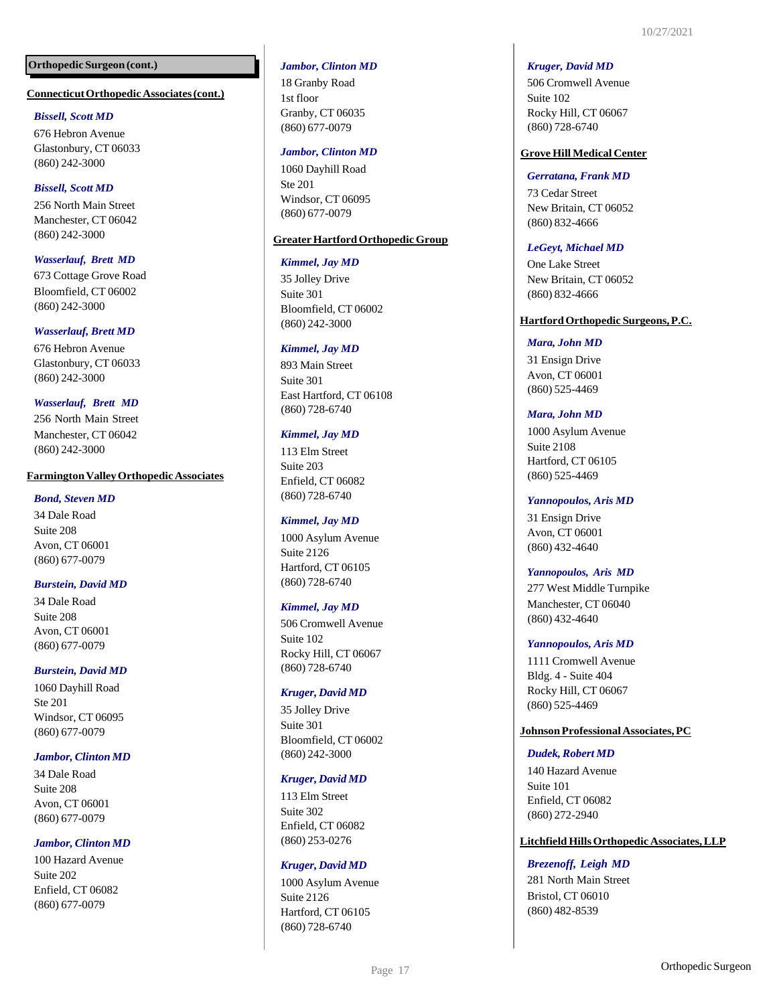#### **ConnecticutOrthopedicAssociates(cont.)**

#### *Bissell, Scott MD*

676 Hebron Avenue Glastonbury, CT 06033 (860) 242-3000

## *Bissell, Scott MD*

256 North Main Street Manchester, CT 06042 (860) 242-3000

## *Wasserlauf, Brett MD*

673 Cottage Grove Road Bloomfield, CT 06002 (860) 242-3000

## *Wasserlauf, Brett MD*

676 Hebron Avenue Glastonbury, CT 06033 (860) 242-3000

## *Wasserlauf, Brett MD*

256 North Main Street Manchester, CT 06042 (860) 242-3000

#### **FarmingtonValleyOrthopedicAssociates**

#### *Bond, Steven MD*

34 Dale Road Suite 208 Avon, CT 06001 (860) 677-0079

## *Burstein, David MD*

34 Dale Road Suite 208 Avon, CT 06001 (860) 677-0079

## *Burstein, David MD*

1060 Dayhill Road Ste 201 Windsor, CT 06095 (860) 677-0079

#### *Jambor, Clinton MD*

34 Dale Road Suite 208 Avon, CT 06001 (860) 677-0079

## *Jambor, Clinton MD*

100 Hazard Avenue Suite 202 Enfield, CT 06082 (860) 677-0079

#### *Jambor, Clinton MD*

18 Granby Road 1st floor Granby, CT 06035 (860) 677-0079

#### *Jambor, Clinton MD*

1060 Dayhill Road Ste 201 Windsor, CT 06095 (860) 677-0079

#### **GreaterHartfordOrthopedicGroup**

#### *Kimmel, Jay MD*

35 Jolley Drive Suite 301 Bloomfield, CT 06002 (860) 242-3000

#### *Kimmel, Jay MD*

893 Main Street Suite 301 East Hartford, CT 06108 (860) 728-6740

#### *Kimmel, Jay MD*

113 Elm Street Suite 203 Enfield, CT 06082 (860) 728-6740

#### *Kimmel, Jay MD*

1000 Asylum Avenue Suite 2126 Hartford, CT 06105 (860) 728-6740

#### *Kimmel, Jay MD*

506 Cromwell Avenue Suite 102 Rocky Hill, CT 06067 (860) 728-6740

#### *Kruger, David MD*

35 Jolley Drive Suite 301 Bloomfield, CT 06002 (860) 242-3000

#### *Kruger, David MD*

113 Elm Street Suite 302 Enfield, CT 06082 (860) 253-0276

#### *Kruger, David MD*

1000 Asylum Avenue Suite 2126 Hartford, CT 06105 (860) 728-6740

#### *Kruger, David MD*

506 Cromwell Avenue Suite 102 Rocky Hill, CT 06067 (860) 728-6740

## **Grove Hill Medical Center**

#### *Gerratana, Frank MD*

73 Cedar Street New Britain, CT 06052 (860) 832-4666

#### *LeGeyt, Michael MD*

One Lake Street New Britain, CT 06052 (860) 832-4666

#### **HartfordOrthopedic Surgeons,P.C.**

#### *Mara, John MD*

31 Ensign Drive Avon, CT 06001 (860) 525-4469

#### *Mara, John MD*

1000 Asylum Avenue Suite 2108 Hartford, CT 06105 (860) 525-4469

#### *Yannopoulos, Aris MD*

31 Ensign Drive Avon, CT 06001 (860) 432-4640

#### *Yannopoulos, Aris MD*

277 West Middle Turnpike Manchester, CT 06040 (860) 432-4640

#### *Yannopoulos, Aris MD*

1111 Cromwell Avenue Bldg. 4 - Suite 404 Rocky Hill, CT 06067 (860) 525-4469

## **JohnsonProfessionalAssociates,PC**

#### *Dudek,Robert MD*

140 Hazard Avenue Suite 101 Enfield, CT 06082 (860) 272-2940

## **Litchfield HillsOrthopedic Associates,LLP**

#### *Brezenoff, Leigh MD*

281 North Main Street Bristol, CT 06010 (860) 482-8539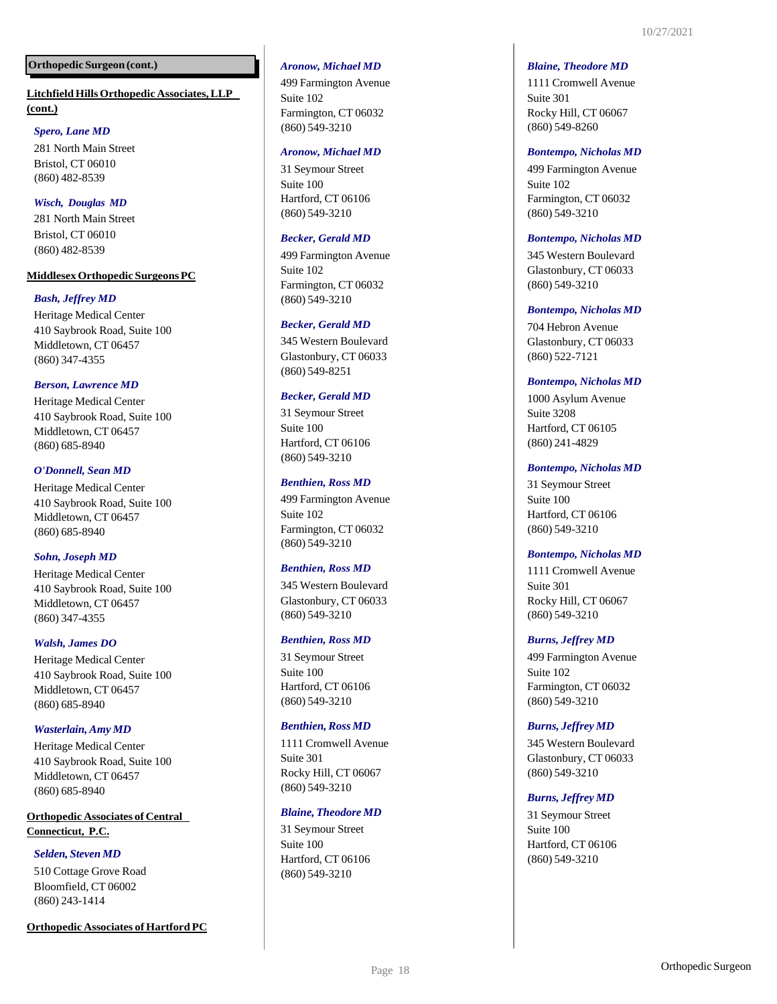## **Litchfield HillsOrthopedic Associates,LLP (cont.)**

## *Spero, Lane MD*

281 North Main Street Bristol, CT 06010 (860) 482 -8539

## *Wisch, Douglas MD*

281 North Main Street Bristol, CT 06010 (860) 482 -8539

## **MiddlesexOrthopedic SurgeonsPC**

## *Bash, Jeffrey MD*

Heritage Medical Center 410 Saybrook Road, Suite 100 Middletown, CT 06457 (860) 347 -4355

## *Berson, Lawrence MD*

Heritage Medical Center 410 Saybrook Road, Suite 100 Middletown, CT 06457 (860) 685 -8940

## *O'Donnell, Sean MD*

Heritage Medical Center 410 Saybrook Road, Suite 100 Middletown, CT 06457 (860) 685 -8940

## *Sohn, Joseph MD*

Heritage Medical Center 410 Saybrook Road, Suite 100 Middletown, CT 06457 (860) 347 -4355

## *Walsh, James DO*

Heritage Medical Center 410 Saybrook Road, Suite 100 Middletown, CT 06457 (860) 685 -8940

## *Wasterlain,Amy MD*

Heritage Medical Center 410 Saybrook Road, Suite 100 Middletown, CT 06457 (860) 685 -8940

## **Orthopedic Associates of Central Connecticut, P.C.**

## *Selden, Steven MD*

510 Cottage Grove Road Bloomfield, CT 06002 (860) 243 -1414

#### **Orthopedic Associates of Hartford PC**

## *Aronow, Michael MD*

499 Farmington Avenue Suite 102 Farmington, CT 06032 (860) 549 -3210

#### *Aronow, Michael MD*

31 Seymour Street Suite 100 Hartford, CT 06106 (860) 549 -3210

#### *Becker, Gerald MD*

499 Farmington Avenue Suite 102 Farmington, CT 06032 (860) 549 -3210

#### *Becker, Gerald MD*

345 Western Boulevard Glastonbury, CT 06033 (860) 549 -8251

#### *Becker, Gerald MD*

31 Seymour Street Suite 100 Hartford, CT 06106 (860) 549 -3210

#### *Benthien, Ross MD*

499 Farmington Avenue Suite 102 Farmington, CT 06032 (860) 549 -3210

#### *Benthien, Ross MD*

345 Western Boulevard Glastonbury, CT 06033 (860) 549 -3210

#### *Benthien, Ross MD*

31 Seymour Street Suite 100 Hartford, CT 06106 (860) 549 -3210

#### *Benthien, Ross MD*

1111 Cromwell Avenue Suite 301 Rocky Hill, CT 06067 (860) 549 -3210

## *Blaine, Theodore MD*

31 Seymour Street Suite 100 Hartford, CT 06106 (860) 549 -3210

#### *Blaine, Theodore MD*

1111 Cromwell Avenue Suite 301 Rocky Hill, CT 06067 (860) 549 -8260

#### *Bontempo, Nicholas MD*

499 Farmington Avenue Suite 102 Farmington, CT 06032 (860) 549 -3210

#### *Bontempo, Nicholas MD*

345 Western Boulevard Glastonbury, CT 06033 (860) 549 -3210

#### *Bontempo, Nicholas MD*

704 Hebron Avenue Glastonbury, CT 06033 (860) 522 -7121

#### *Bontempo, Nicholas MD*

1000 Asylum Avenue Suite 3208 Hartford, CT 06105 (860) 241 -4829

## *Bontempo, Nicholas MD*

31 Seymour Street Suite 100 Hartford, CT 06106 (860) 549 -3210

#### *Bontempo, Nicholas MD*

1111 Cromwell Avenue Suite 301 Rocky Hill, CT 06067 (860) 549 -3210

## *Burns, Jeffrey MD*

499 Farmington Avenue Suite 102 Farmington, CT 06032 (860) 549 -3210

#### *Burns, Jeffrey MD*

345 Western Boulevard Glastonbury, CT 06033 (860) 549 -3210

## *Burns, Jeffrey MD*

31 Seymour Street Suite 100 Hartford, CT 06106 (860) 549 -3210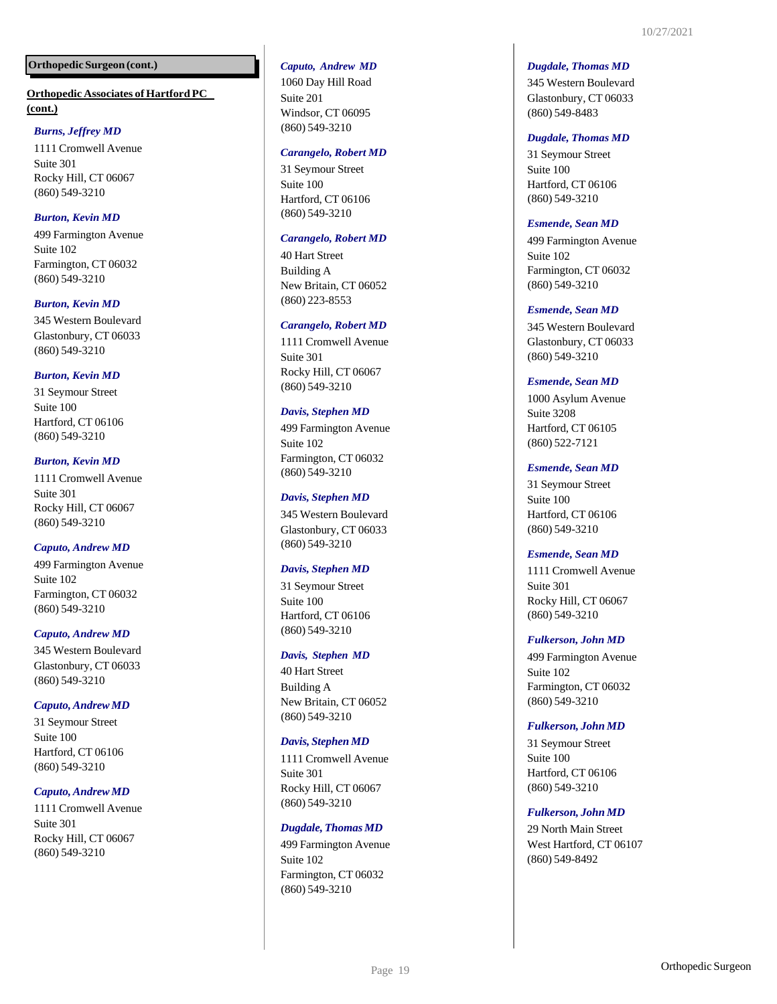## **Orthopedic Associates of Hartford PC (cont.)**

## *Burns, Jeffrey MD*

1111 Cromwell Avenue Suite 301 Rocky Hill, CT 06067 (860) 549 -3210

## *Burton, Kevin MD*

499 Farmington Avenue Suite 102 Farmington, CT 06032 (860) 549 -3210

## *Burton, Kevin MD*

345 Western Boulevard Glastonbury, CT 06033 (860) 549 -3210

## *Burton, Kevin MD*

31 Seymour Street Suite 100 Hartford, CT 06106 (860) 549 -3210

## *Burton, Kevin MD*

1111 Cromwell Avenue Suite 301 Rocky Hill, CT 06067 (860) 549 -3210

## *Caputo, Andrew MD*

499 Farmington Avenue Suite 102 Farmington, CT 06032 (860) 549 -3210

## *Caputo, Andrew MD*

345 Western Boulevard Glastonbury, CT 06033 (860) 549 -3210

## *Caputo, Andrew MD*

31 Seymour Street Suite 100 Hartford, CT 06106 (860) 549 -3210

## *Caputo, Andrew MD*

1111 Cromwell Avenue Suite 301 Rocky Hill, CT 06067 (860) 549 -3210

## *Caputo, Andrew MD*

1060 Day Hill Road Suite 201 Windsor, CT 06095 (860) 549 -3210

#### *Carangelo, Robert MD*

31 Seymour Street Suite 100 Hartford, CT 06106 (860) 549 -3210

## *Carangelo, Robert MD*

40 Hart Street Building A New Britain, CT 06052 (860) 223 -8553

## *Carangelo, Robert MD*

1111 Cromwell Avenue Suite 301 Rocky Hill, CT 06067 (860) 549 -3210

## *Davis, Stephen MD*

499 Farmington Avenue Suite 102 Farmington, CT 06032 (860) 549 -3210

## *Davis, Stephen MD*

345 Western Boulevard Glastonbury, CT 06033 (860) 549 -3210

## *Davis, Stephen MD*

31 Seymour Street Suite 100 Hartford, CT 06106 (860) 549 -3210

## *Davis, Stephen MD*

40 Hart Street Building A New Britain, CT 06052 (860) 549 -3210

## *Davis, Stephen MD*

1111 Cromwell Avenue Suite 301 Rocky Hill, CT 06067 (860) 549 -3210

## *Dugdale, Thomas MD*

499 Farmington Avenue Suite 102 Farmington, CT 06032 (860) 549 -3210

#### *Dugdale, Thomas MD*

345 Western Boulevard Glastonbury, CT 06033 (860) 549 -8483

## *Dugdale, Thomas MD*

31 Seymour Street Suite 100 Hartford, CT 06106 (860) 549 -3210

#### *Esmende, Sean MD*

499 Farmington Avenue Suite 102 Farmington, CT 06032 (860) 549 -3210

## *Esmende, Sean MD*

345 Western Boulevard Glastonbury, CT 06033 (860) 549 -3210

## *Esmende, Sean MD*

1000 Asylum Avenue Suite 3208 Hartford, CT 06105 (860) 522 -7121

## *Esmende, Sean MD*

31 Seymour Street Suite 100 Hartford, CT 06106 (860) 549 -3210

## *Esmende, Sean MD*

1111 Cromwell Avenue Suite 301 Rocky Hill, CT 06067 (860) 549 -3210

## *Fulkerson, John MD*

499 Farmington Avenue Suite 102 Farmington, CT 06032 (860) 549 -3210

## *Fulkerson, John MD*

31 Seymour Street Suite 100 Hartford, CT 06106 (860) 549 -3210

## *Fulkerson, John MD*

29 North Main Street West Hartford, CT 06107 (860) 549 -8492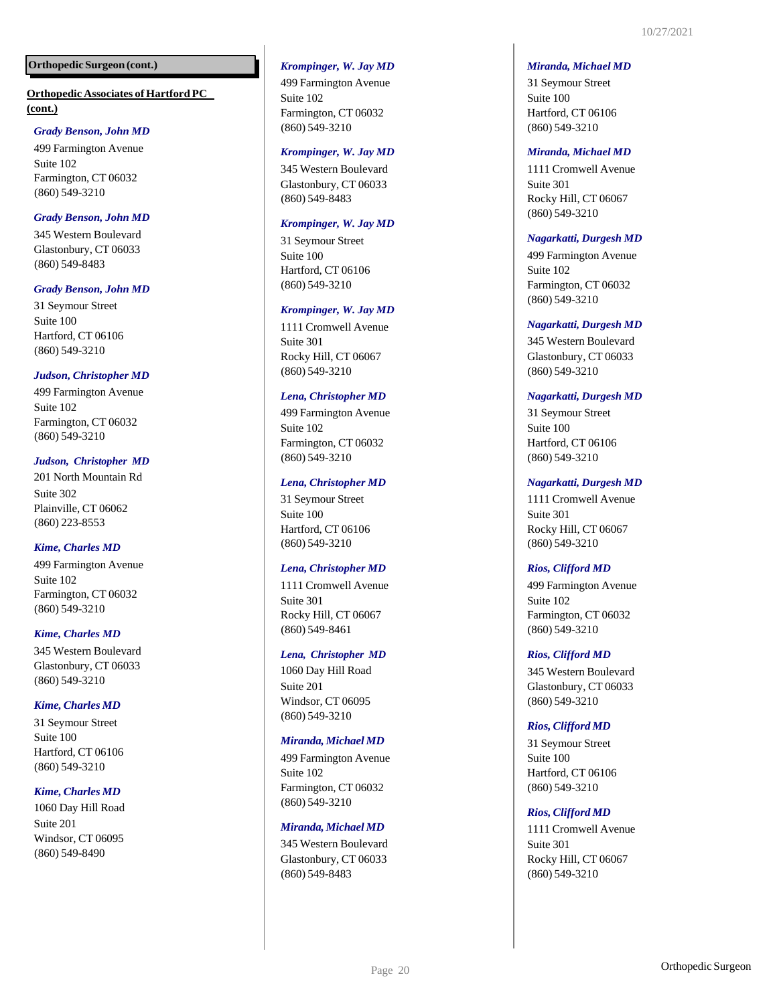## **Orthopedic Associates of Hartford PC (cont.)**

## *Grady Benson, John MD*

499 Farmington Avenue Suite 102 Farmington, CT 06032 (860) 549 -3210

## *Grady Benson, John MD*

345 Western Boulevard Glastonbury, CT 06033 (860) 549 -8483

## *Grady Benson, John MD*

31 Seymour Street Suite 100 Hartford, CT 06106 (860) 549 -3210

## *Judson, Christopher MD*

499 Farmington Avenue Suite 102 Farmington, CT 06032 (860) 549 -3210

## *Judson, Christopher MD*

201 North Mountain Rd Suite 302 Plainville, CT 06062 (860) 223 -8553

## *Kime, Charles MD*

499 Farmington Avenue Suite 102 Farmington, CT 06032 (860) 549 -3210

## *Kime, Charles MD*

345 Western Boulevard Glastonbury, CT 06033 (860) 549 -3210

## *Kime, Charles MD*

31 Seymour Street Suite 100 Hartford, CT 06106 (860) 549 -3210

## *Kime, Charles MD*

1060 Day Hill Road Suite 201 Windsor, CT 06095 (860) 549 -8490

## *Krompinger, W. Jay MD*

499 Farmington Avenue Suite 102 Farmington, CT 06032 (860) 549 -3210

#### *Krompinger, W. Jay MD*

345 Western Boulevard Glastonbury, CT 06033 (860) 549 -8483

## *Krompinger, W. Jay MD*

31 Seymour Street Suite 100 Hartford, CT 06106 (860) 549 -3210

## *Krompinger, W. Jay MD*

1111 Cromwell Avenue Suite 301 Rocky Hill, CT 06067 (860) 549 -3210

## *Lena, Christopher MD*

499 Farmington Avenue Suite 102 Farmington, CT 06032 (860) 549 -3210

## *Lena, Christopher MD*

31 Seymour Street Suite 100 Hartford, CT 06106 (860) 549 -3210

#### *Lena, Christopher MD*

1111 Cromwell Avenue Suite 301 Rocky Hill, CT 06067 (860) 549 -8461

#### *Lena, Christopher MD*

1060 Day Hill Road Suite 201 Windsor, CT 06095 (860) 549 -3210

#### *Miranda, Michael MD*

499 Farmington Avenue Suite 102 Farmington, CT 06032 (860) 549 -3210

## *Miranda, Michael MD*

345 Western Boulevard Glastonbury, CT 06033 (860) 549 -8483

#### *Miranda, Michael MD*

31 Seymour Street Suite 100 Hartford, CT 06106 (860) 549 -3210

#### *Miranda, Michael MD*

1111 Cromwell Avenue Suite 301 Rocky Hill, CT 06067 (860) 549 -3210

#### *Nagarkatti, Durgesh MD*

499 Farmington Avenue Suite 102 Farmington, CT 06032 (860) 549 -3210

## *Nagarkatti, Durgesh MD*

345 Western Boulevard Glastonbury, CT 06033 (860) 549 -3210

## *Nagarkatti, Durgesh MD*

31 Seymour Street Suite 100 Hartford, CT 06106 (860) 549 -3210

## *Nagarkatti, Durgesh MD*

1111 Cromwell Avenue Suite 301 Rocky Hill, CT 06067 (860) 549 -3210

## *Rios, Clifford MD*

499 Farmington Avenue Suite 102 Farmington, CT 06032 (860) 549 -3210

## *Rios, Clifford MD*

345 Western Boulevard Glastonbury, CT 06033 (860) 549 -3210

## *Rios, Clifford MD*

31 Seymour Street Suite 100 Hartford, CT 06106 (860) 549 -3210

## *Rios, Clifford MD*

1111 Cromwell Avenue Suite 301 Rocky Hill, CT 06067 (860) 549 -3210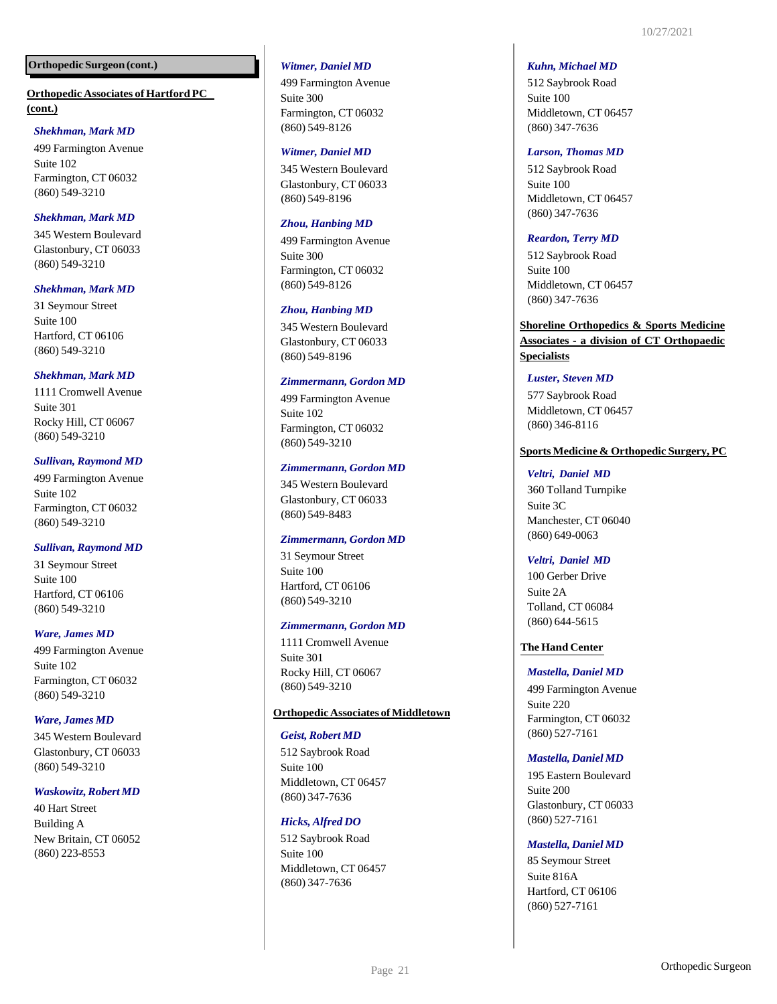## **Orthopedic Associates of Hartford PC (cont.)**

## *Shekhman, Mark MD*

499 Farmington Avenue Suite 102 Farmington, CT 06032 (860) 549-3210

## *Shekhman, Mark MD*

345 Western Boulevard Glastonbury, CT 06033 (860) 549-3210

## *Shekhman, Mark MD*

31 Seymour Street Suite 100 Hartford, CT 06106 (860) 549-3210

## *Shekhman, Mark MD*

1111 Cromwell Avenue Suite 301 Rocky Hill, CT 06067 (860) 549-3210

## *Sullivan, Raymond MD*

499 Farmington Avenue Suite 102 Farmington, CT 06032 (860) 549-3210

## *Sullivan, Raymond MD*

31 Seymour Street Suite 100 Hartford, CT 06106 (860) 549-3210

## *Ware, James MD*

499 Farmington Avenue Suite 102 Farmington, CT 06032 (860) 549-3210

## *Ware, James MD*

345 Western Boulevard Glastonbury, CT 06033 (860) 549-3210

#### *Waskowitz,Robert MD*

40 Hart Street Building A New Britain, CT 06052 (860) 223-8553

#### *Witmer, Daniel MD*

499 Farmington Avenue Suite 300 Farmington, CT 06032 (860) 549-8126

#### *Witmer, Daniel MD*

345 Western Boulevard Glastonbury, CT 06033 (860) 549-8196

#### *Zhou, Hanbing MD*

499 Farmington Avenue Suite 300 Farmington, CT 06032 (860) 549-8126

#### *Zhou, Hanbing MD*

345 Western Boulevard Glastonbury, CT 06033 (860) 549-8196

## *Zimmermann, Gordon MD*

499 Farmington Avenue Suite 102 Farmington, CT 06032 (860) 549-3210

#### *Zimmermann, Gordon MD*

345 Western Boulevard Glastonbury, CT 06033 (860) 549-8483

#### *Zimmermann, Gordon MD*

31 Seymour Street Suite 100 Hartford, CT 06106 (860) 549-3210

#### *Zimmermann, Gordon MD*

1111 Cromwell Avenue Suite 301 Rocky Hill, CT 06067 (860) 549-3210

#### **Orthopedic Associates of Middletown**

#### *Geist, Robert MD*

512 Saybrook Road Suite 100 Middletown, CT 06457 (860) 347-7636

#### *Hicks, Alfred DO*

512 Saybrook Road Suite 100 Middletown, CT 06457 (860) 347-7636

#### *Kuhn, Michael MD*

512 Saybrook Road Suite 100 Middletown, CT 06457 (860) 347-7636

#### *Larson, Thomas MD*

512 Saybrook Road Suite 100 Middletown, CT 06457 (860) 347-7636

#### *Reardon, Terry MD*

512 Saybrook Road Suite 100 Middletown, CT 06457 (860) 347-7636

## **Shoreline Orthopedics & Sports Medicine Associates - a division of CT Orthopaedic Specialists**

#### *Luster, Steven MD*

577 Saybrook Road Middletown, CT 06457 (860) 346-8116

#### **Sports Medicine & Orthopedic Surgery, PC**

#### *Veltri, Daniel MD*

360 Tolland Turnpike Suite 3C Manchester, CT 06040 (860) 649-0063

#### *Veltri, Daniel MD*

100 Gerber Drive Suite 2A Tolland, CT 06084 (860) 644-5615

#### **The Hand Center**

#### *Mastella, Daniel MD*

499 Farmington Avenue Suite 220 Farmington, CT 06032 (860) 527-7161

#### *Mastella, Daniel MD*

195 Eastern Boulevard Suite 200 Glastonbury, CT 06033 (860) 527-7161

## *Mastella, Daniel MD*

85 Seymour Street Suite 816A Hartford, CT 06106 (860) 527-7161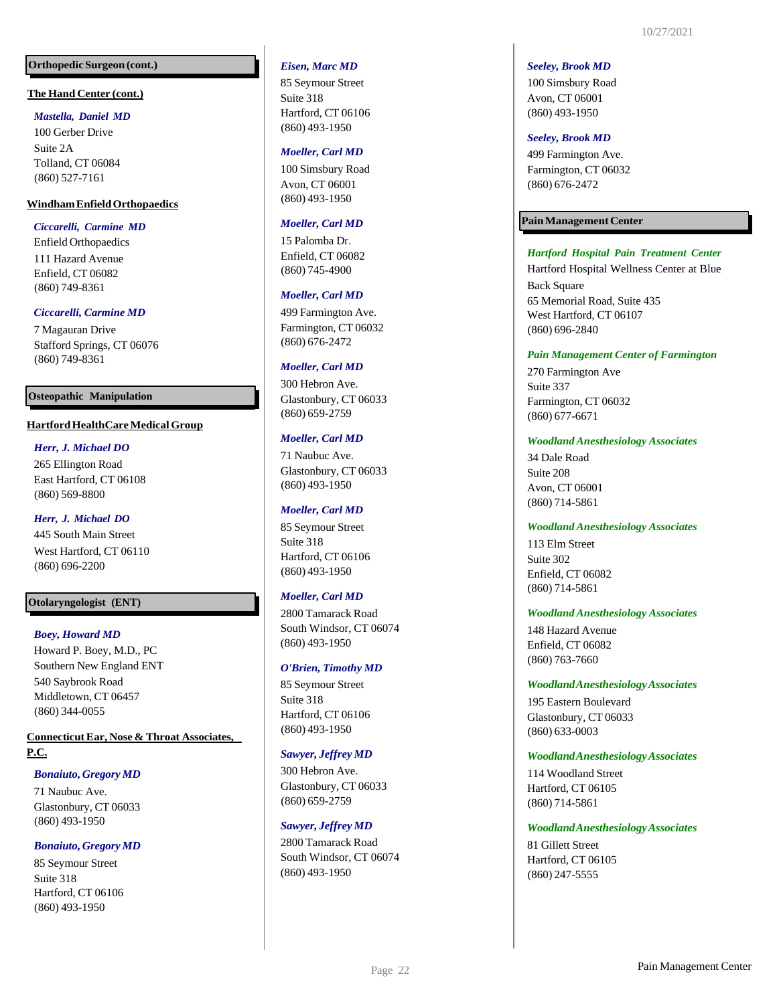## **The Hand Center (cont.)**

## *Mastella, Daniel MD*

100 Gerber Drive Suite 2A Tolland, CT 06084 (860) 527 -7161

## **WindhamEnfieldOrthopaedics**

*Ciccarelli, Carmine MD*

Enfield Orthopaedics 111 Hazard Avenue Enfield, CT 06082 (860) 749 -8361

#### *Ciccarelli, Carmine MD*

7 Magauran Drive Stafford Springs, CT 06076 (860) 749 -8361

#### **Osteopathic Manipulation**

## **HartfordHealthCareMedicalGroup**

## *Herr, J. Michael DO*

265 Ellington Road East Hartford, CT 06108 (860) 569 -8800

#### *Herr, J. Michael DO*

445 South Main Street West Hartford, CT 06110 (860) 696 -2200

## **Otolaryngologist (ENT)**

#### *Boey, Howard MD*

Howard P. Boey, M.D., PC Southern New England ENT 540 Saybrook Road Middletown, CT 06457 (860) 344 -0055

**ConnecticutEar, Nose & Throat Associates, P.C.**

#### *Bonaiuto, Gregory MD*

71 Naubuc Ave. Glastonbury, CT 06033 (860) 493 -1950

#### *Bonaiuto, Gregory MD*

85 Seymour Street Suite 318 Hartford, CT 06106 (860) 493 -1950

#### *Eisen, Marc MD*

85 Seymour Street Suite 318 Hartford, CT 06106 (860) 493 -1950

#### *Moeller, Carl MD*

100 Simsbury Road Avon, CT 06001 (860) 493 -1950

#### *Moeller, Carl MD*

15 Palomba Dr. Enfield, CT 06082 (860) 745 -4900

#### *Moeller, Carl MD*

499 Farmington Ave. Farmington, CT 06032 (860) 676 -2472

#### *Moeller, Carl MD*

300 Hebron Ave. Glastonbury, CT 06033 (860) 659 -2759

#### *Moeller, Carl MD*

71 Naubuc Ave. Glastonbury, CT 06033 (860) 493 -1950

#### *Moeller, Carl MD*

85 Seymour Street Suite 318 Hartford, CT 06106 (860) 493 -1950

#### *Moeller, Carl MD*

2800 Tamarack Road South Windsor, CT 06074 (860) 493 -1950

#### *O'Brien, Timothy MD*

85 Seymour Street Suite 318 Hartford, CT 06106 (860) 493 -1950

#### *Sawyer, Jeffrey MD*

300 Hebron Ave. Glastonbury, CT 06033 (860) 659 -2759

#### *Sawyer, Jeffrey MD*

2800 Tamarack Road South Windsor, CT 06074 (860) 493 -1950

#### *Seeley, Brook MD*

100 Simsbury Road Avon, CT 06001 (860) 493 -1950

#### *Seeley, Brook MD*

499 Farmington Ave. Farmington, CT 06032 (860) 676 -2472

#### **PainManagementCenter**

#### *Hartford Hospital Pain Treatment Center*

Hartford Hospital Wellness Center at Blue Back Square 65 Memorial Road, Suite 435 West Hartford, CT 06107 (860) 696 -2840

#### *Pain Management Center of Farmington*

270 Farmington Ave Suite 337 Farmington, CT 06032 (860) 677 -6671

#### *Woodland Anesthesiology Associates*

34 Dale Road Suite 208 Avon, CT 06001 (860) 714 -5861

#### *Woodland Anesthesiology Associates*

113 Elm Street Suite 302 Enfield, CT 06082 (860) 714 -5861

#### *Woodland Anesthesiology Associates*

148 Hazard Avenue Enfield, CT 06082 (860) 763 -7660

#### *WoodlandAnesthesiologyAssociates*

195 Eastern Boulevard Glastonbury, CT 06033 (860) 633 -0003

#### *WoodlandAnesthesiologyAssociates*

114 Woodland Street Hartford, CT 06105 (860) 714 -5861

*WoodlandAnesthesiologyAssociates*

81 Gillett Street Hartford, CT 06105 (860) 247 -5555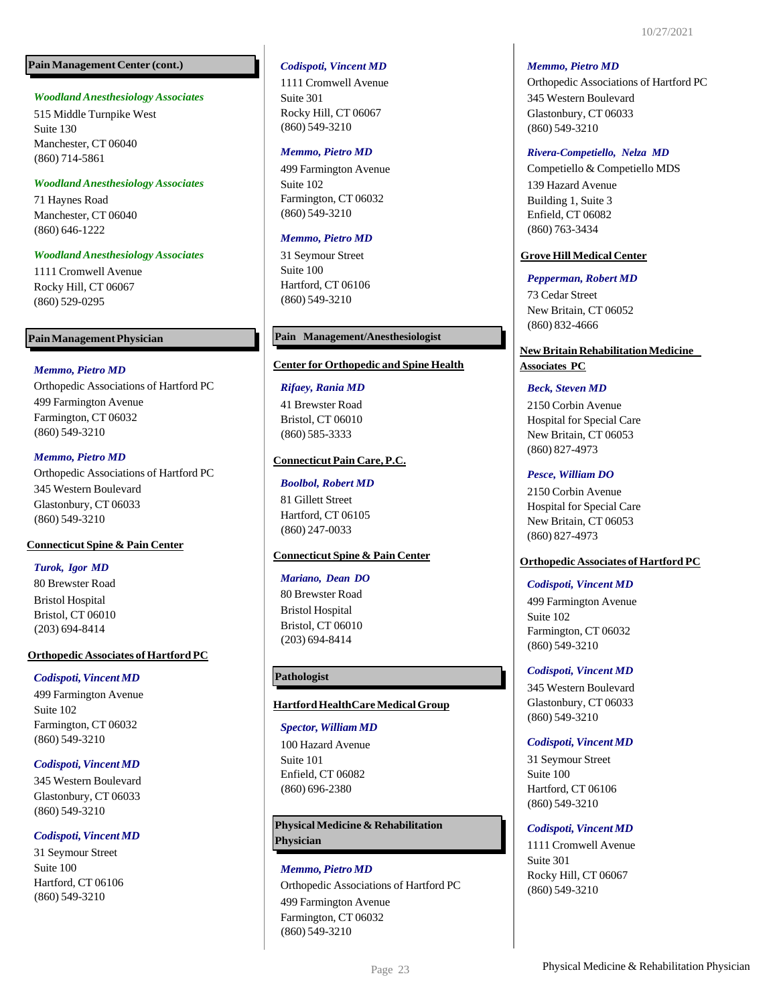## **PainManagement Center (cont.)**

#### *Woodland Anesthesiology Associates*

515 Middle Turnpike West Suite 130 Manchester, CT 06040 (860) 714-5861

#### *Woodland Anesthesiology Associates*

71 Haynes Road Manchester, CT 06040 (860) 646-1222

## *Woodland Anesthesiology Associates*

1111 Cromwell Avenue Rocky Hill, CT 06067 (860) 529-0295

## *Memmo, Pietro MD*

Orthopedic Associations of Hartford PC 499 Farmington Avenue Farmington, CT 06032 (860) 549-3210

## *Memmo, Pietro MD*

Orthopedic Associations of Hartford PC 345 Western Boulevard Glastonbury, CT 06033 (860) 549-3210

## **Connecticut Spine & Pain Center**

## *Turok, Igor MD*

80 Brewster Road Bristol Hospital Bristol, CT 06010 (203) 694-8414

## **Orthopedic Associates of Hartford PC**

## *Codispoti,Vincent MD*

499 Farmington Avenue Suite 102 Farmington, CT 06032 (860) 549-3210

## *Codispoti,Vincent MD*

345 Western Boulevard Glastonbury, CT 06033 (860) 549-3210

## *Codispoti,Vincent MD*

31 Seymour Street Suite 100 Hartford, CT 06106 (860) 549-3210

#### *Codispoti, Vincent MD*

1111 Cromwell Avenue Suite 301 Rocky Hill, CT 06067 (860) 549-3210

#### *Memmo, Pietro MD*

499 Farmington Avenue Suite 102 Farmington, CT 06032 (860) 549-3210

## *Memmo, Pietro MD*

31 Seymour Street Suite 100 Hartford, CT 06106 (860) 549-3210

## Pain Management Physician **Pain Management/Anesthesiologist**

#### **Center for Orthopedic and Spine Health**

#### *Rifaey, Rania MD*

41 Brewster Road Bristol, CT 06010 (860) 585-3333

## **Connecticut Pain Care, P.C.**

## *Boolbol, Robert MD*

81 Gillett Street Hartford, CT 06105 (860) 247-0033

## **Connecticut Spine & Pain Center**

#### *Mariano, Dean DO*

80 Brewster Road Bristol Hospital Bristol, CT 06010 (203) 694-8414

## **Pathologist**

## **HartfordHealthCareMedicalGroup**

*Spector, William MD* 100 Hazard Avenue Suite 101 Enfield, CT 06082 (860) 696-2380

## **PhysicalMedicine & Rehabilitation Physician**

## *Memmo, Pietro MD* Orthopedic Associations of Hartford PC 499 Farmington Avenue Farmington, CT 06032 (860) 549-3210

## *Memmo, Pietro MD*

Orthopedic Associations of Hartford PC 345 Western Boulevard Glastonbury, CT 06033 (860) 549-3210

## *Rivera-Competiello, Nelza MD*

Competiello & Competiello MDS 139 Hazard Avenue Building 1, Suite 3 Enfield, CT 06082 (860) 763-3434

## **Grove Hill Medical Center**

#### *Pepperman, Robert MD*

73 Cedar Street New Britain, CT 06052 (860) 832-4666

## **NewBritainRehabilitationMedicine**

**Associates PC**

## *Beck, Steven MD*

2150 Corbin Avenue Hospital for Special Care New Britain, CT 06053 (860) 827-4973

## *Pesce, William DO*

2150 Corbin Avenue Hospital for Special Care New Britain, CT 06053 (860) 827-4973

## **Orthopedic Associates of Hartford PC**

#### *Codispoti, Vincent MD*

499 Farmington Avenue Suite 102 Farmington, CT 06032 (860) 549-3210

## *Codispoti, Vincent MD*

345 Western Boulevard Glastonbury, CT 06033 (860) 549-3210

#### *Codispoti,Vincent MD*

31 Seymour Street Suite 100 Hartford, CT 06106 (860) 549-3210

## *Codispoti,Vincent MD*

1111 Cromwell Avenue Suite 301 Rocky Hill, CT 06067 (860) 549-3210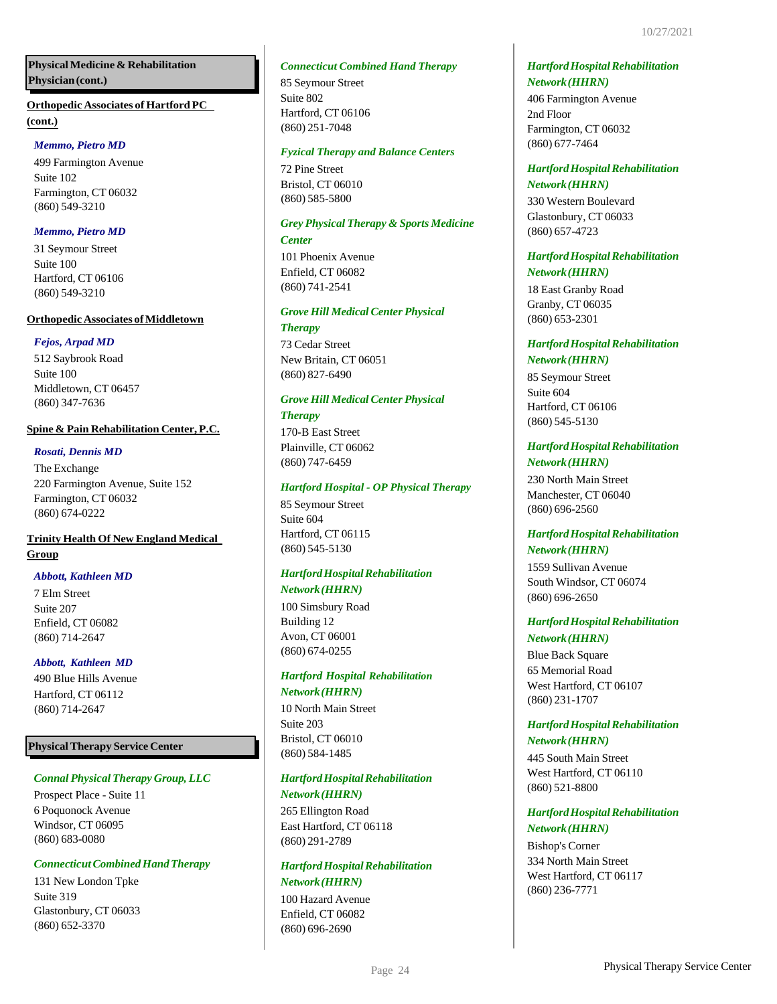## **PhysicalMedicine & Rehabilitation Physician(cont.)**

## **(cont.) Orthopedic Associates of Hartford PC**

## *Memmo, Pietro MD*

499 Farmington Avenue Suite 102 Farmington, CT 06032 (860) 549-3210

## *Memmo, Pietro MD*

31 Seymour Street Suite 100 Hartford, CT 06106 (860) 549-3210

## **Orthopedic Associates of Middletown**

## *Fejos, Arpad MD*

512 Saybrook Road Suite 100 Middletown, CT 06457 (860) 347-7636

## **Spine & Pain Rehabilitation Center, P.C.**

## *Rosati, Dennis MD*

The Exchange 220 Farmington Avenue, Suite 152 Farmington, CT 06032 (860) 674-0222

## **Trinity Health Of New England Medical Group**

## *Abbott, Kathleen MD*

7 Elm Street Suite 207 Enfield, CT 06082 (860) 714-2647

## *Abbott, Kathleen MD*

490 Blue Hills Avenue Hartford, CT 06112 (860) 714-2647

## **PhysicalTherapy Service Center**

## *Connal Physical Therapy Group, LLC*

Prospect Place - Suite 11 6 Poquonock Avenue Windsor, CT 06095 (860) 683-0080

## *ConnecticutCombinedHandTherapy*

131 New London Tpke Suite 319 Glastonbury, CT 06033 (860) 652-3370

## *Connecticut Combined Hand Therapy*

85 Seymour Street Suite 802 Hartford, CT 06106 (860) 251-7048

## *Fyzical Therapy and Balance Centers*

72 Pine Street Bristol, CT 06010 (860) 585-5800

## *Grey Physical Therapy & Sports Medicine*

*Center*

101 Phoenix Avenue Enfield, CT 06082 (860) 741-2541

## *Grove Hill Medical Center Physical Therapy*

73 Cedar Street New Britain, CT 06051 (860) 827-6490

## *Grove Hill Medical Center Physical*

## *Therapy*

170-B East Street Plainville, CT 06062 (860) 747-6459

## *Hartford Hospital - OP Physical Therapy*

85 Seymour Street Suite 604 Hartford, CT 06115 (860) 545-5130

## *HartfordHospitalRehabilitation Network(HHRN)*

100 Simsbury Road Building 12 Avon, CT 06001 (860) 674-0255

## *Hartford Hospital Rehabilitation Network(HHRN)*

10 North Main Street Suite 203 Bristol, CT 06010 (860) 584-1485

## *HartfordHospitalRehabilitation Network(HHRN)*

265 Ellington Road East Hartford, CT 06118 (860) 291-2789

## *HartfordHospitalRehabilitation Network(HHRN)*

100 Hazard Avenue Enfield, CT 06082 (860) 696-2690

## *HartfordHospitalRehabilitation Network(HHRN)*

406 Farmington Avenue 2nd Floor Farmington, CT 06032 (860) 677-7464

## *HartfordHospitalRehabilitation Network(HHRN)*

330 Western Boulevard Glastonbury, CT 06033 (860) 657-4723

## *HartfordHospitalRehabilitation Network(HHRN)*

18 East Granby Road Granby, CT 06035 (860) 653-2301

## *HartfordHospitalRehabilitation Network(HHRN)*

85 Seymour Street Suite 604 Hartford, CT 06106 (860) 545-5130

## *HartfordHospitalRehabilitation Network(HHRN)*

230 North Main Street Manchester, CT 06040 (860) 696-2560

## *HartfordHospitalRehabilitation Network(HHRN)*

1559 Sullivan Avenue South Windsor, CT 06074 (860) 696-2650

## *HartfordHospitalRehabilitation Network(HHRN)*

Blue Back Square 65 Memorial Road West Hartford, CT 06107 (860) 231-1707

## *HartfordHospitalRehabilitation Network(HHRN)*

445 South Main Street West Hartford, CT 06110 (860) 521-8800

## *HartfordHospitalRehabilitation Network(HHRN)*

Bishop's Corner 334 North Main Street West Hartford, CT 06117 (860) 236-7771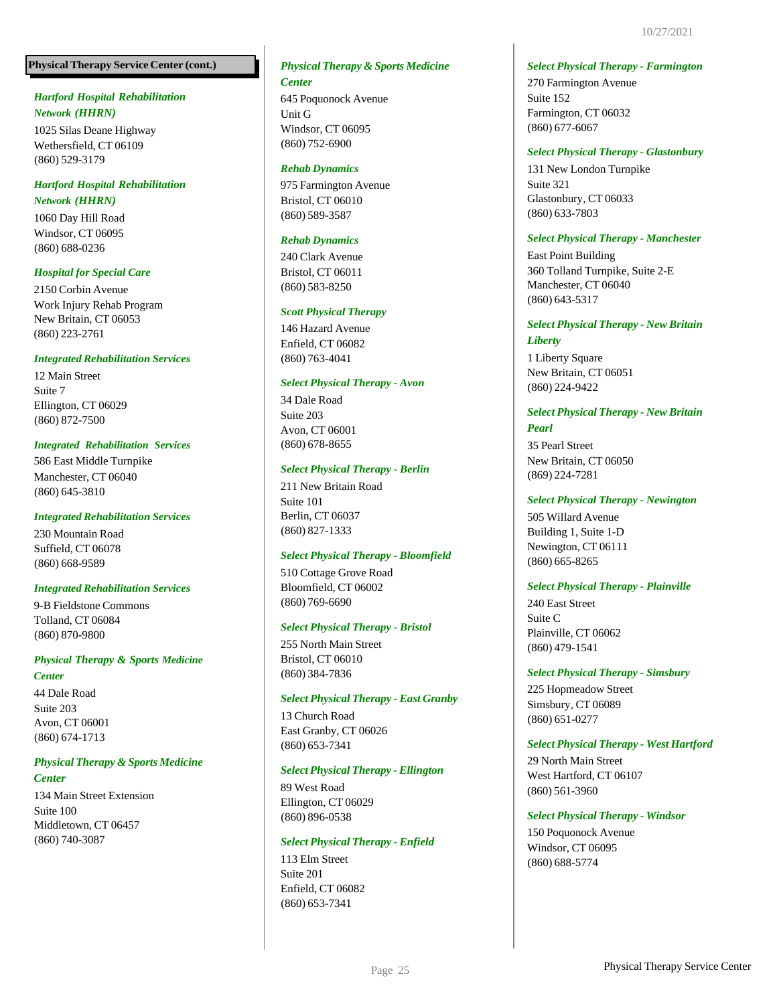## **PhysicalTherapy Service Center (cont.)**

## *Hartford Hospital Rehabilitation Network (HHRN)*

1025 Silas Deane Highway Wethersfield, CT 06109 (860) 529-3179

## *Hartford Hospital Rehabilitation Network (HHRN)*

1060 Day Hill Road Windsor, CT 06095 (860) 688-0236

## *Hospital for Special Care*

2150 Corbin Avenue Work Injury Rehab Program New Britain, CT 06053 (860) 223-2761

## *Integrated Rehabilitation Services*

12 Main Street Suite 7 Ellington, CT 06029 (860) 872-7500

## *Integrated Rehabilitation Services*

586 East Middle Turnpike Manchester, CT 06040 (860) 645-3810

## *Integrated Rehabilitation Services*

230 Mountain Road Suffield, CT 06078 (860) 668-9589

## *Integrated Rehabilitation Services*

9-B Fieldstone Commons Tolland, CT 06084 (860) 870-9800

## *Physical Therapy & Sports Medicine*

*Center*

44 Dale Road Suite 203 Avon, CT 06001 (860) 674-1713

## *Physical Therapy & Sports Medicine*

*Center*

134 Main Street Extension Suite 100 Middletown, CT 06457 (860) 740-3087

## *Physical Therapy & Sports Medicine Center*

645 Poquonock Avenue Unit G Windsor, CT 06095 (860) 752-6900

## *Rehab Dynamics*

975 Farmington Avenue Bristol, CT 06010 (860) 589-3587

## *Rehab Dynamics*

240 Clark Avenue Bristol, CT 06011 (860) 583-8250

## *Scott Physical Therapy*

146 Hazard Avenue Enfield, CT 06082 (860) 763-4041

## *Select Physical Therapy - Avon*

34 Dale Road Suite 203 Avon, CT 06001 (860) 678-8655

## *Select Physical Therapy - Berlin*

211 New Britain Road Suite 101 Berlin, CT 06037 (860) 827-1333

## *Select Physical Therapy - Bloomfield*

510 Cottage Grove Road Bloomfield, CT 06002 (860) 769-6690

## *Select Physical Therapy - Bristol*

255 North Main Street Bristol, CT 06010 (860) 384-7836

## *Select Physical Therapy - East Granby*

13 Church Road East Granby, CT 06026 (860) 653-7341

## *Select Physical Therapy - Ellington*

89 West Road Ellington, CT 06029 (860) 896-0538

## *Select Physical Therapy - Enfield*

113 Elm Street Suite 201 Enfield, CT 06082 (860) 653-7341

*Select Physical Therapy - Farmington*

270 Farmington Avenue Suite 152 Farmington, CT 06032 (860) 677-6067

## *Select Physical Therapy - Glastonbury*

131 New London Turnpike Suite 321 Glastonbury, CT 06033 (860) 633-7803

## *Select Physical Therapy - Manchester*

East Point Building 360 Tolland Turnpike, Suite 2-E Manchester, CT 06040 (860) 643-5317

## *Select Physical Therapy - New Britain*

*Liberty* 1 Liberty Square New Britain, CT 06051 (860) 224-9422

## *Select Physical Therapy - New Britain Pearl*

35 Pearl Street New Britain, CT 06050 (869) 224-7281

## *Select Physical Therapy - Newington*

505 Willard Avenue Building 1, Suite 1-D Newington, CT 06111 (860) 665-8265

## *Select Physical Therapy - Plainville*

240 East Street Suite C Plainville, CT 06062 (860) 479-1541

## *Select Physical Therapy - Simsbury*

225 Hopmeadow Street Simsbury, CT 06089 (860) 651-0277

## *Select Physical Therapy - West Hartford*

29 North Main Street West Hartford, CT 06107 (860) 561-3960

## *Select Physical Therapy - Windsor*

150 Poquonock Avenue Windsor, CT 06095 (860) 688-5774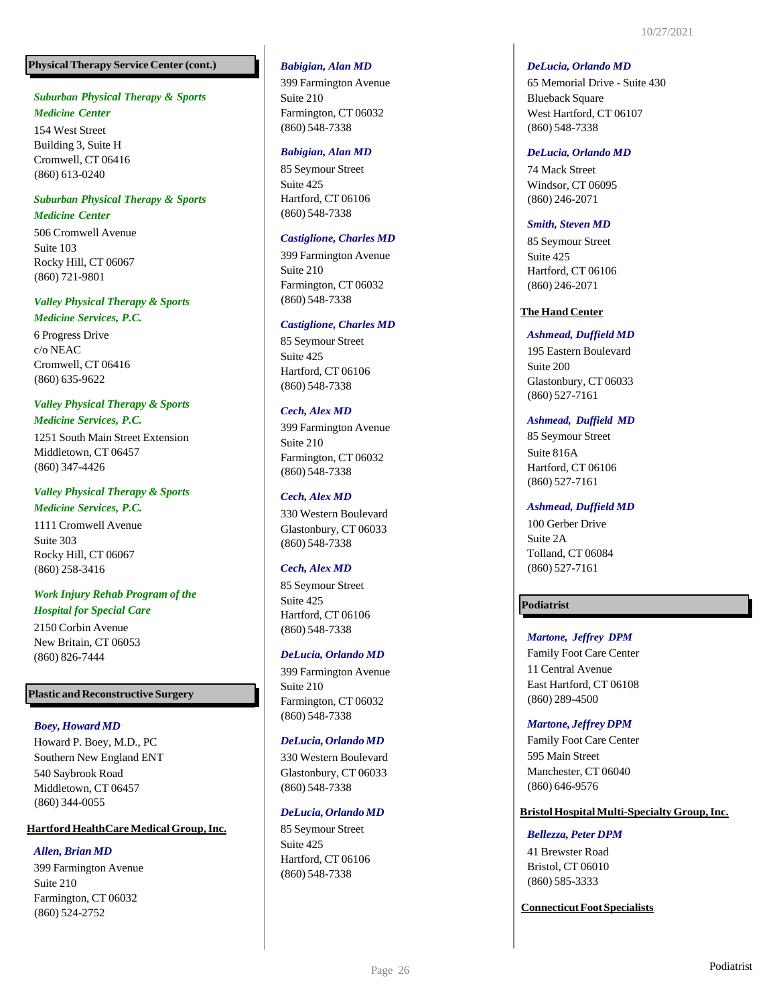## **PhysicalTherapy Service Center (cont.)**

## *Suburban Physical Therapy & Sports Medicine Center*

154 West Street Building 3, Suite H Cromwell, CT 06416 (860) 613 -0240

## *Suburban Physical Therapy & Sports*

## *Medicine Center*

506 Cromwell Avenue Suite 103 Rocky Hill, CT 06067 (860) 721 -9801

## *Valley Physical Therapy & Sports*

## *Medicine Services, P.C.*

6 Progress Drive c/o NEAC Cromwell, CT 06416 (860) 635 -9622

## *Valley Physical Therapy & Sports Medicine Services, P.C.*

1251 South Main Street Extension Middletown, CT 06457 (860) 347 -4426

## *Valley Physical Therapy & Sports Medicine Services, P.C.*

1111 Cromwell Avenue Suite 303 Rocky Hill, CT 06067 (860) 258 -3416

## *Work Injury Rehab Program of the Hospital for Special Care*

2150 Corbin Avenue New Britain, CT 06053 (860) 826 -7444

## **Plastic and Reconstructive Surgery**

## *Boey, Howard MD*

Howard P. Boey, M.D., PC Southern New England ENT 540 Saybrook Road Middletown, CT 06457 (860) 344 -0055

## **HartfordHealthCare MedicalGroup,Inc.**

## *Allen, Brian MD*

399 Farmington Avenue Suite 210 Farmington, CT 06032 (860) 524 -2752

## *Babigian, Alan MD*

399 Farmington Avenue Suite 210 Farmington, CT 06032 (860) 548 -7338

#### *Babigian, Alan MD*

85 Seymour Street Suite 425 Hartford, CT 06106 (860) 548 -7338

## *Castiglione, Charles MD*

399 Farmington Avenue Suite 210 Farmington, CT 06032 (860) 548 -7338

## *Castiglione, Charles MD*

85 Seymour Street Suite 425 Hartford, CT 06106 (860) 548 -7338

## *Cech, Alex MD*

399 Farmington Avenue Suite 210 Farmington, CT 06032 (860) 548 -7338

## *Cech, Alex MD*

330 Western Boulevard Glastonbury, CT 06033 (860) 548 -7338

## *Cech, Alex MD*

85 Seymour Street Suite 425 Hartford, CT 06106 (860) 548 -7338

## *DeLucia, Orlando MD*

399 Farmington Avenue Suite 210 Farmington, CT 06032 (860) 548 -7338

#### *DeLucia, Orlando MD*

330 Western Boulevard Glastonbury, CT 06033 (860) 548 -7338

## *DeLucia, Orlando MD*

85 Seymour Street Suite 425 Hartford, CT 06106 (860) 548 -7338

#### *DeLucia, Orlando MD*

65 Memorial Drive - Suite 430 Blueback Square West Hartford, CT 06107 (860) 548 -7338

## *DeLucia, Orlando MD*

74 Mack Street Windsor, CT 06095 (860) 246 -2071

## *Smith, Steven MD*

85 Seymour Street Suite 425 Hartford, CT 06106 (860) 246 -2071

## **The Hand Center**

## *Ashmead, Duffield MD*

195 Eastern Boulevard Suite 200 Glastonbury, CT 06033 (860) 527 -7161

## *Ashmead, Duffield MD*

85 Seymour Street Suite 816A Hartford, CT 06106 (860) 527 -7161

## *Ashmead, Duffield MD*

100 Gerber Drive Suite 2A Tolland, CT 06084 (860) 527 -7161

## **Podiatrist**

## *Martone, Jeffrey DPM*

Family Foot Care Center 11 Central Avenue East Hartford, CT 06108 (860) 289 -4500

## *Martone, Jeffrey DPM*

Family Foot Care Center 595 Main Street Manchester, CT 06040 (860) 646 -9576

## **BristolHospitalMulti -SpecialtyGroup,Inc.**

#### *Bellezza, Peter DPM*

41 Brewster Road Bristol, CT 06010 (860) 585 -3333

**ConnecticutFootSpecialists**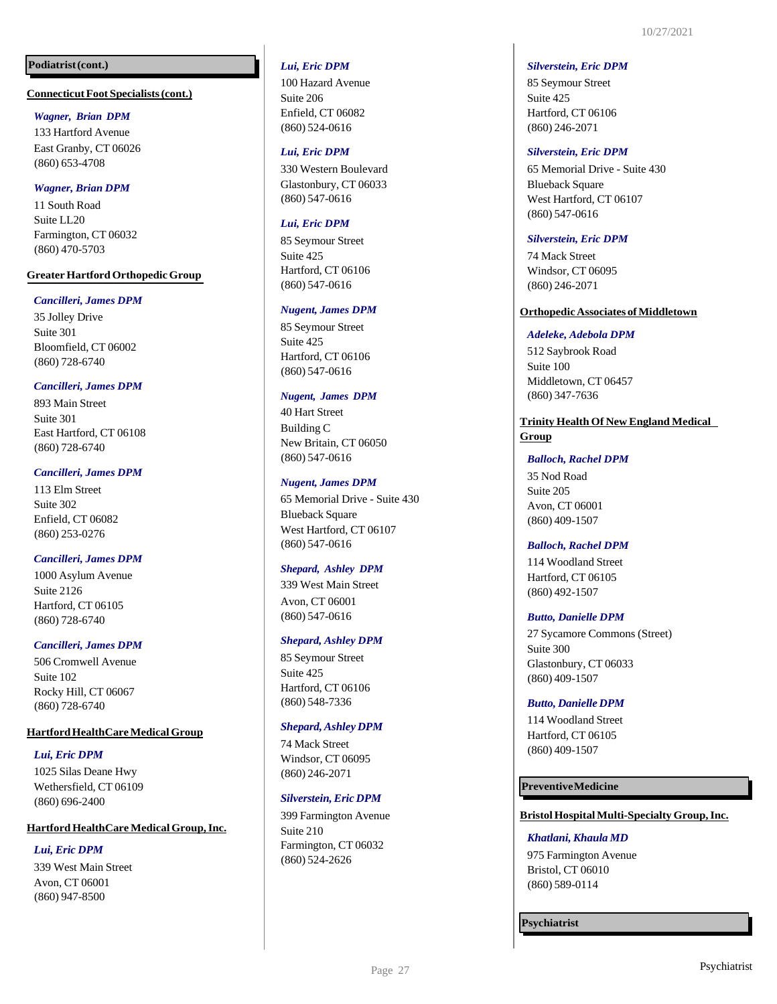## **Podiatrist(cont.)**

#### **ConnecticutFoot Specialists(cont.)**

#### *Wagner, Brian DPM*

133 Hartford Avenue East Granby, CT 06026 (860) 653 -4708

## *Wagner, Brian DPM*

11 South Road Suite LL20 Farmington, CT 06032 (860) 470 -5703

#### **GreaterHartfordOrthopedicGroup**

#### *Cancilleri, James DPM*

35 Jolley Drive Suite 301 Bloomfield, CT 06002 (860) 728 -6740

#### *Cancilleri, James DPM*

893 Main Street Suite 301 East Hartford, CT 06108 (860) 728 -6740

#### *Cancilleri, James DPM*

113 Elm Street Suite 302 Enfield, CT 06082 (860) 253 -0276

#### *Cancilleri, James DPM*

1000 Asylum Avenue Suite 2126 Hartford, CT 06105 (860) 728 -6740

#### *Cancilleri, James DPM*

506 Cromwell Avenue Suite 102 Rocky Hill, CT 06067 (860) 728 -6740

#### **Hartford HealthCare Medical Group**

#### *Lui, Eric DPM*

1025 Silas Deane Hwy Wethersfield, CT 06109 (860) 696 -2400

#### **HartfordHealthCare MedicalGroup,Inc.**

## *Lui, Eric DPM*

339 West Main Street Avon, CT 06001 (860) 947 -8500

#### *Lui, Eric DPM*

100 Hazard Avenue Suite 206 Enfield, CT 06082 (860) 524 -0616

#### *Lui, Eric DPM*

330 Western Boulevard Glastonbury, CT 06033 (860) 547 -0616

#### *Lui, Eric DPM*

85 Seymour Street Suite 425 Hartford, CT 06106 (860) 547 -0616

#### *Nugent, James DPM*

85 Seymour Street Suite 425 Hartford, CT 06106 (860) 547 -0616

#### *Nugent, James DPM*

40 Hart Street Building C New Britain, CT 06050 (860) 547 -0616

#### *Nugent, James DPM*

65 Memorial Drive - Suite 430 Blueback Square West Hartford, CT 06107 (860) 547 -0616

#### *Shepard, Ashley DPM*

339 West Main Street Avon, CT 06001 (860) 547 -0616

#### *Shepard, Ashley DPM*

85 Seymour Street Suite 425 Hartford, CT 06106 (860) 548 -7336

#### *Shepard,Ashley DPM*

74 Mack Street Windsor, CT 06095 (860) 246 -2071

#### *Silverstein,Eric DPM*

399 Farmington Avenue Suite 210 Farmington, CT 06032 (860) 524 -2626

#### *Silverstein, Eric DPM*

85 Seymour Street Suite 425 Hartford, CT 06106 (860) 246 -2071

#### *Silverstein, Eric DPM*

65 Memorial Drive - Suite 430 **Blueback Square** West Hartford, CT 06107 (860) 547 -0616

#### *Silverstein, Eric DPM*

74 Mack Street Windsor, CT 06095 (860) 246 -2071

## **OrthopedicAssociates ofMiddletown**

#### *Adeleke, Adebola DPM*

512 Saybrook Road Suite 100 Middletown, CT 06457 (860) 347 -7636

## **Trinity Health Of New England Medical Group**

#### *Balloch, Rachel DPM*

35 Nod Road Suite 205 Avon, CT 06001 (860) 409 -1507

#### *Balloch, Rachel DPM*

114 Woodland Street Hartford, CT 06105 (860) 492 -1507

#### *Butto, Danielle DPM*

27 Sycamore Commons (Street) Suite 300 Glastonbury, CT 06033 (860) 409 -1507

#### *Butto, Danielle DPM*

114 Woodland Street Hartford, CT 06105 (860) 409 -1507

#### **PreventiveMedicine**

## **BristolHospitalMulti -SpecialtyGroup,Inc.**

### *Khatlani,Khaula MD*

975 Farmington Avenue Bristol, CT 06010 (860) 589 -0114

**Psychiatrist**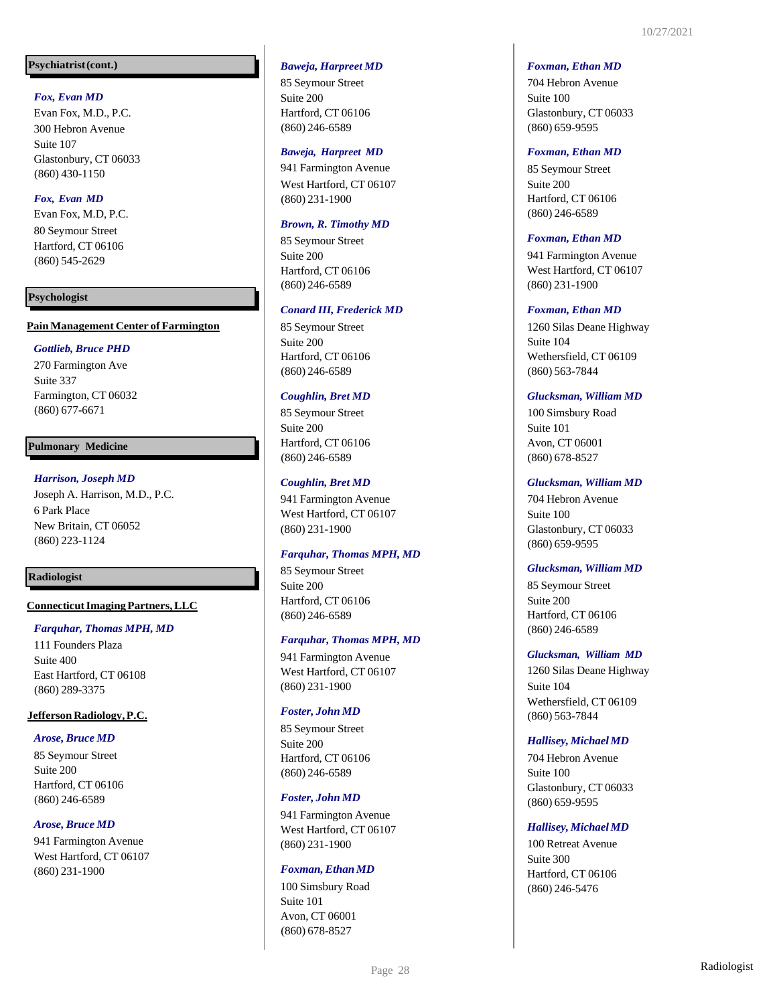## **Psychiatrist(cont.)**

## *Fox, Evan MD*

Evan Fox, M.D., P.C. 300 Hebron Avenue Suite 107 Glastonbury, CT 06033 (860) 430 -1150

## *Fox, Evan MD*

Evan Fox, M.D, P.C. 80 Seymour Street Hartford, CT 06106 (860) 545 -2629

## **Psychologist**

## **PainManagement Center of Farmington**

## *Gottlieb, Bruce PHD*

270 Farmington Ave Suite 337 Farmington, CT 06032 (860) 677 -6671

## **Pulmonary Medicine**

## *Harrison, Joseph MD*

Joseph A. Harrison, M.D., P.C. 6 Park Place New Britain, CT 06052 (860) 223 -1124

## **Radiologist**

## **Connecticut Imaging Partners, LLC**

## *Farquhar, Thomas MPH, MD*

111 Founders Plaza Suite 400 East Hartford, CT 06108 (860) 289 -3375

## **JeffersonRadiology,P.C.**

#### *Arose, Bruce MD*

85 Seymour Street Suite 200 Hartford, CT 06106 (860) 246 -6589

## *Arose, Bruce MD*

941 Farmington Avenue West Hartford, CT 06107 (860) 231 -1900

## *Baweja, Harpreet MD*

85 Seymour Street Suite 200 Hartford, CT 06106 (860) 246 -6589

#### *Baweja, Harpreet MD*

941 Farmington Avenue West Hartford, CT 06107 (860) 231 -1900

## *Brown, R. Timothy MD*

85 Seymour Street Suite 200 Hartford, CT 06106 (860) 246 -6589

## *Conard III, Frederick MD*

85 Seymour Street Suite 200 Hartford, CT 06106 (860) 246 -6589

## *Coughlin, Bret MD*

85 Seymour Street Suite 200 Hartford, CT 06106 (860) 246 -6589

## *Coughlin, Bret MD*

941 Farmington Avenue West Hartford, CT 06107 (860) 231 -1900

## *Farquhar, Thomas MPH, MD*

85 Seymour Street Suite 200 Hartford, CT 06106 (860) 246 -6589

#### *Farquhar, Thomas MPH, MD*

941 Farmington Avenue West Hartford, CT 06107 (860) 231 -1900

## *Foster, John MD*

85 Seymour Street Suite 200 Hartford, CT 06106 (860) 246 -6589

## *Foster, John MD*

941 Farmington Avenue West Hartford, CT 06107 (860) 231 -1900

#### *Foxman, Ethan MD*

100 Simsbury Road Suite 101 Avon, CT 06001 (860) 678 -8527

#### *Foxman, Ethan MD*

704 Hebron Avenue Suite 100 Glastonbury, CT 06033 (860) 659 -9595

#### *Foxman, Ethan MD*

85 Seymour Street Suite 200 Hartford, CT 06106 (860) 246 -6589

#### *Foxman, Ethan MD*

941 Farmington Avenue West Hartford, CT 06107 (860) 231 -1900

## *Foxman, Ethan MD*

1260 Silas Deane Highway Suite 104 Wethersfield, CT 06109 (860) 563 -7844

#### *Glucksman, William MD*

100 Simsbury Road Suite 101 Avon, CT 06001 (860) 678 -8527

#### *Glucksman, William MD*

704 Hebron Avenue Suite 100 Glastonbury, CT 06033 (860) 659 -9595

#### *Glucksman, William MD*

85 Seymour Street Suite 200 Hartford, CT 06106 (860) 246 -6589

## *Glucksman, William MD*

1260 Silas Deane Highway Suite 104 Wethersfield, CT 06109 (860) 563 -7844

## *Hallisey, Michael MD*

704 Hebron Avenue Suite 100 Glastonbury, CT 06033 (860) 659 -9595

## *Hallisey, Michael MD*

100 Retreat Avenue Suite 300 Hartford, CT 06106 (860) 246 -5476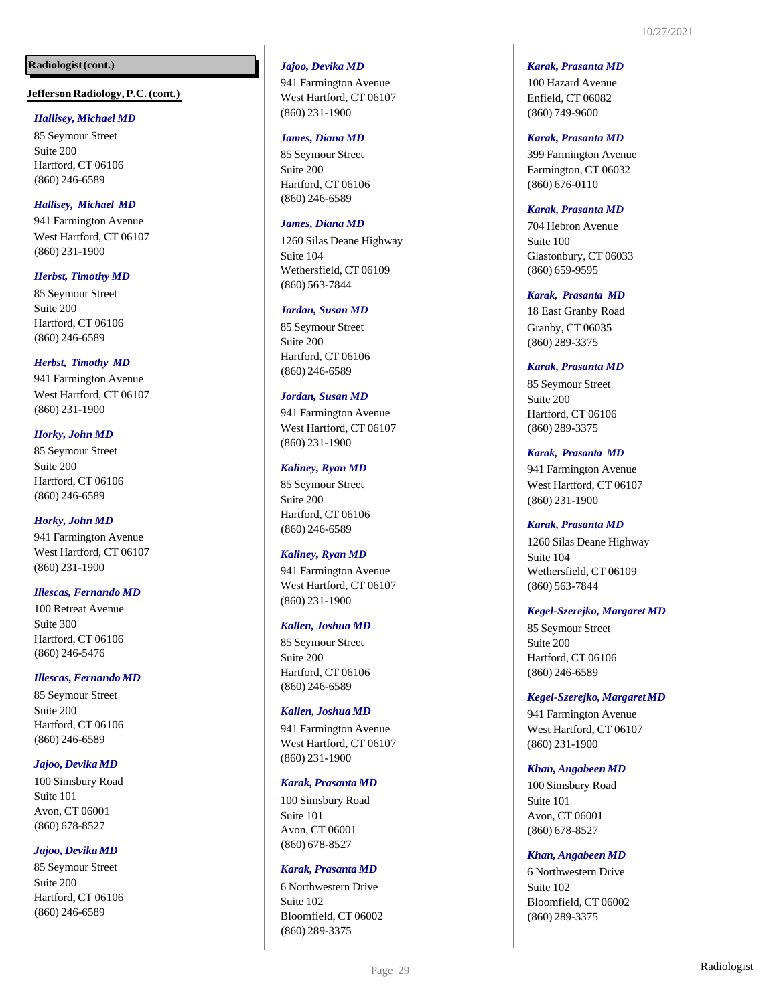**Jefferson Radiology,P.C.(cont.)**

#### *Hallisey, Michael MD*

85 Seymour Street Suite 200 Hartford, CT 06106 (860) 246 -6589

## *Hallisey, Michael MD*

941 Farmington Avenue West Hartford, CT 06107 (860) 231 -1900

## *Herbst, Timothy MD*

85 Seymour Street Suite 200 Hartford, CT 06106 (860) 246 -6589

## *Herbst, Timothy MD*

941 Farmington Avenue West Hartford, CT 06107 (860) 231 -1900

## *Horky, John MD*

85 Seymour Street Suite 200 Hartford, CT 06106 (860) 246 -6589

## *Horky, John MD*

941 Farmington Avenue West Hartford, CT 06107 (860) 231 -1900

## *Illescas, Fernando MD*

100 Retreat Avenue Suite 300 Hartford, CT 06106 (860) 246 -5476

## *Illescas,Fernando MD*

85 Seymour Street Suite 200 Hartford, CT 06106 (860) 246 -6589

#### *Jajoo, Devika MD*

100 Simsbury Road Suite 101 Avon, CT 06001 (860) 678 -8527

#### *Jajoo, Devika MD*

85 Seymour Street Suite 200 Hartford, CT 06106 (860) 246 -6589

## *Jajoo, Devika MD*

941 Farmington Avenue West Hartford, CT 06107 (860) 231 -1900

#### *James, Diana MD*

85 Seymour Street Suite 200 Hartford, CT 06106 (860) 246 -6589

## *James, Diana MD*

1260 Silas Deane Highway Suite 104 Wethersfield, CT 06109 (860) 563 -7844

#### *Jordan, Susan MD*

85 Seymour Street Suite 200 Hartford, CT 06106 (860) 246 -6589

#### *Jordan, Susan MD*

941 Farmington Avenue West Hartford, CT 06107 (860) 231 -1900

#### *Kaliney, Ryan MD*

85 Seymour Street Suite 200 Hartford, CT 06106 (860) 246 -6589

#### *Kaliney, Ryan MD*

941 Farmington Avenue West Hartford, CT 06107 (860) 231 -1900

#### *Kallen, Joshua MD*

85 Seymour Street Suite 200 Hartford, CT 06106 (860) 246 -6589

#### *Kallen, Joshua MD*

941 Farmington Avenue West Hartford, CT 06107 (860) 231 -1900

#### *Karak, Prasanta MD*

100 Simsbury Road Suite 101 Avon, CT 06001 (860) 678 -8527

#### *Karak, Prasanta MD*

6 Northwestern Drive Suite 102 Bloomfield, CT 06002 (860) 289 -3375

#### *Karak, Prasanta MD*

100 Hazard Avenue Enfield, CT 06082 (860) 749 -9600

#### *Karak, Prasanta MD*

399 Farmington Avenue Farmington, CT 06032 (860) 676 -0110

#### *Karak, Prasanta MD*

704 Hebron Avenue Suite 100 Glastonbury, CT 06033 (860) 659 -9595

## *Karak, Prasanta MD*

18 East Granby Road Granby, CT 06035 (860) 289 -3375

#### *Karak, Prasanta MD*

85 Seymour Street Suite 200 Hartford, CT 06106 (860) 289 -3375

*Karak, Prasanta MD* 941 Farmington Avenue West Hartford, CT 06107 (860) 231 -1900

#### *Karak, Prasanta MD*

1260 Silas Deane Highway Suite 104 Wethersfield, CT 06109 (860) 563 -7844

#### *Kegel-Szerejko, Margaret MD*

85 Seymour Street Suite 200 Hartford, CT 06106 (860) 246 -6589

## *Kegel-Szerejko,MargaretMD*

941 Farmington Avenue West Hartford, CT 06107 (860) 231 -1900

#### *Khan, Angabeen MD*

100 Simsbury Road Suite 101 Avon, CT 06001 (860) 678 -8527

#### *Khan, Angabeen MD*

6 Northwestern Drive Suite 102 Bloomfield, CT 06002 (860) 289 -3375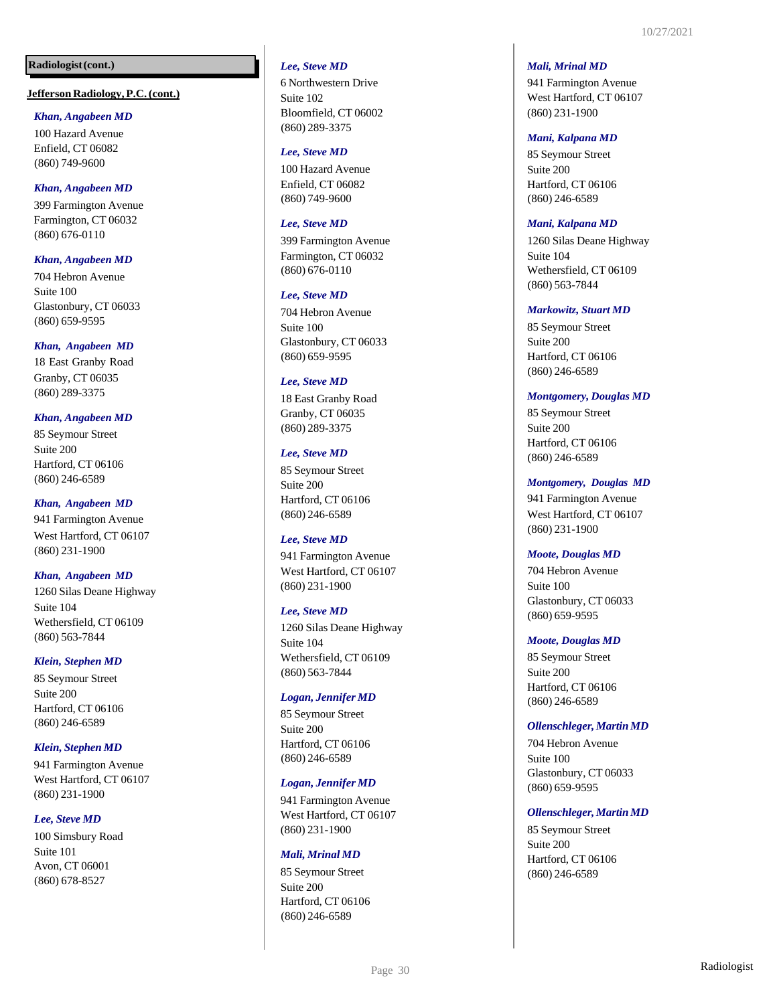#### **Jefferson Radiology,P.C.(cont.)**

#### *Khan, Angabeen MD*

100 Hazard Avenue Enfield, CT 06082 (860) 749 -9600

#### *Khan, Angabeen MD*

399 Farmington Avenue Farmington, CT 06032 (860) 676 -0110

#### *Khan, Angabeen MD*

704 Hebron Avenue Suite 100 Glastonbury, CT 06033 (860) 659 -9595

#### *Khan, Angabeen MD*

18 East Granby Road Granby, CT 06035 (860) 289 -3375

## *Khan, Angabeen MD*

85 Seymour Street Suite 200 Hartford, CT 06106 (860) 246 -6589

*Khan, Angabeen MD* 941 Farmington Avenue West Hartford, CT 06107 (860) 231 -1900

## *Khan, Angabeen MD*

1260 Silas Deane Highway Suite 104 Wethersfield, CT 06109 (860) 563 -7844

#### *Klein, Stephen MD*

85 Seymour Street Suite 200 Hartford, CT 06106 (860) 246 -6589

#### *Klein, Stephen MD*

941 Farmington Avenue West Hartford, CT 06107 (860) 231 -1900

#### *Lee, Steve MD*

100 Simsbury Road Suite 101 Avon, CT 06001 (860) 678 -8527

#### *Lee, Steve MD*

6 Northwestern Drive Suite 102 Bloomfield, CT 06002 (860) 289 -3375

#### *Lee, Steve MD*

100 Hazard Avenue Enfield, CT 06082 (860) 749 -9600

## *Lee, Steve MD*

399 Farmington Avenue Farmington, CT 06032 (860) 676 -0110

#### *Lee, Steve MD*

704 Hebron Avenue Suite 100 Glastonbury, CT 06033 (860) 659 -9595

## *Lee, Steve MD*

18 East Granby Road Granby, CT 06035 (860) 289 -3375

#### *Lee, Steve MD*

85 Seymour Street Suite 200 Hartford, CT 06106 (860) 246 -6589

#### *Lee, Steve MD*

941 Farmington Avenue West Hartford, CT 06107 (860) 231 -1900

#### *Lee, Steve MD*

1260 Silas Deane Highway Suite 104 Wethersfield, CT 06109 (860) 563 -7844

#### *Logan, Jennifer MD*

85 Seymour Street Suite 200 Hartford, CT 06106 (860) 246 -6589

#### *Logan, Jennifer MD*

941 Farmington Avenue West Hartford, CT 06107 (860) 231 -1900

#### *Mali, Mrinal MD*

85 Seymour Street Suite 200 Hartford, CT 06106 (860) 246 -6589

#### *Mali, Mrinal MD*

941 Farmington Avenue West Hartford, CT 06107 (860) 231 -1900

#### *Mani, Kalpana MD*

85 Seymour Street Suite 200 Hartford, CT 06106 (860) 246 -6589

#### *Mani, Kalpana MD*

1260 Silas Deane Highway Suite 104 Wethersfield, CT 06109 (860) 563 -7844

#### *Markowitz, Stuart MD*

85 Seymour Street Suite 200 Hartford, CT 06106 (860) 246 -6589

#### *Montgomery, Douglas MD*

85 Seymour Street Suite 200 Hartford, CT 06106 (860) 246 -6589

#### *Montgomery, Douglas MD*

941 Farmington Avenue West Hartford, CT 06107 (860) 231 -1900

#### *Moote, Douglas MD*

704 Hebron Avenue Suite 100 Glastonbury, CT 06033 (860) 659 -9595

#### *Moote, Douglas MD*

85 Seymour Street Suite 200 Hartford, CT 06106 (860) 246 -6589

#### *Ollenschleger,MartinMD*

704 Hebron Avenue Suite 100 Glastonbury, CT 06033 (860) 659 -9595

#### *Ollenschleger,MartinMD*

85 Seymour Street Suite 200 Hartford, CT 06106 (860) 246 -6589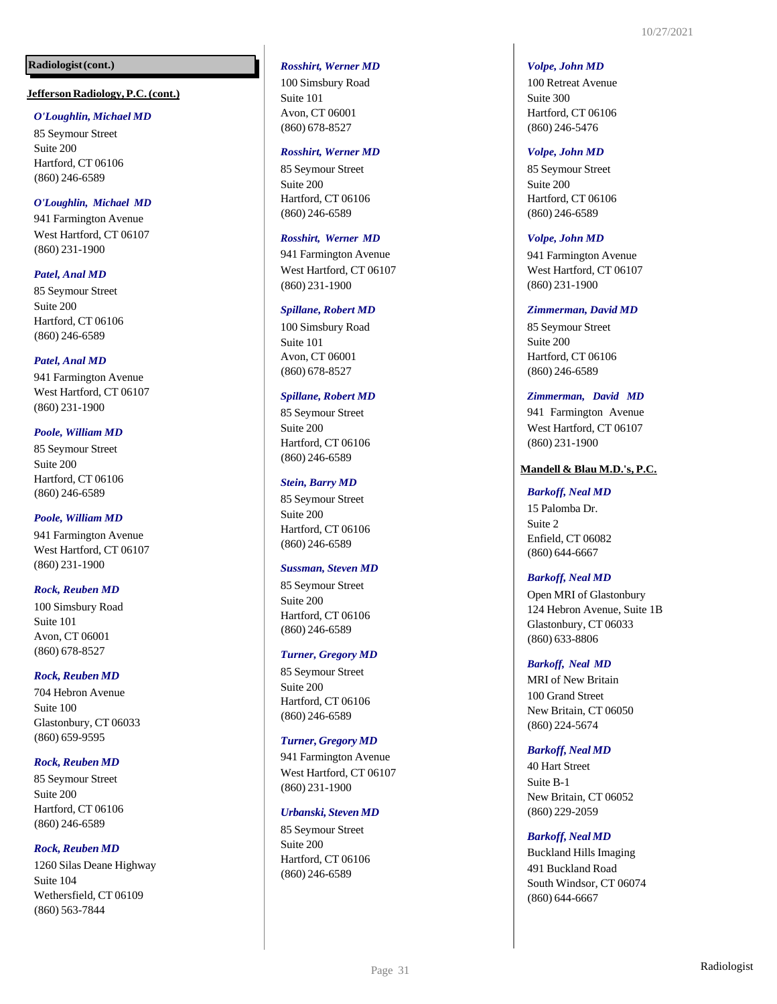#### **Jefferson Radiology,P.C.(cont.)**

#### *O'Loughlin, Michael MD*

85 Seymour Street Suite 200 Hartford, CT 06106 (860) 246 -6589

## *O'Loughlin, Michael MD*

941 Farmington Avenue West Hartford, CT 06107 (860) 231 -1900

## *Patel, Anal MD*

85 Seymour Street Suite 200 Hartford, CT 06106 (860) 246 -6589

## *Patel, Anal MD*

941 Farmington Avenue West Hartford, CT 06107 (860) 231 -1900

## *Poole, William MD*

85 Seymour Street Suite 200 Hartford, CT 06106 (860) 246 -6589

## *Poole, William MD*

941 Farmington Avenue West Hartford, CT 06107 (860) 231 -1900

#### *Rock, Reuben MD*

100 Simsbury Road Suite 101 Avon, CT 06001 (860) 678 -8527

## *Rock, Reuben MD*

704 Hebron Avenue Suite 100 Glastonbury, CT 06033 (860) 659 -9595

## *Rock, Reuben MD*

85 Seymour Street Suite 200 Hartford, CT 06106 (860) 246 -6589

## *Rock, Reuben MD*

1260 Silas Deane Highway Suite 104 Wethersfield, CT 06109 (860) 563 -7844

#### *Rosshirt, Werner MD*

100 Simsbury Road Suite 101 Avon, CT 06001 (860) 678 -8527

#### *Rosshirt, Werner MD*

85 Seymour Street Suite 200 Hartford, CT 06106 (860) 246 -6589

#### *Rosshirt, Werner MD*

941 Farmington Avenue West Hartford, CT 06107 (860) 231 -1900

#### *Spillane, Robert MD*

100 Simsbury Road Suite 101 Avon, CT 06001 (860) 678 -8527

#### *Spillane, Robert MD*

85 Seymour Street Suite 200 Hartford, CT 06106 (860) 246 -6589

#### *Stein, Barry MD*

85 Seymour Street Suite 200 Hartford, CT 06106 (860) 246 -6589

#### *Sussman, Steven MD*

85 Seymour Street Suite 200 Hartford, CT 06106 (860) 246 -6589

#### *Turner, Gregory MD*

85 Seymour Street Suite 200 Hartford, CT 06106 (860) 246 -6589

#### *Turner, Gregory MD*

941 Farmington Avenue West Hartford, CT 06107 (860) 231 -1900

#### *Urbanski, Steven MD*

85 Seymour Street Suite 200 Hartford, CT 06106 (860) 246 -6589

#### *Volpe, John MD*

100 Retreat Avenue Suite 300 Hartford, CT 06106 (860) 246 -5476

#### *Volpe, John MD*

85 Seymour Street Suite 200 Hartford, CT 06106 (860) 246 -6589

#### *Volpe, John MD*

941 Farmington Avenue West Hartford, CT 06107 (860) 231 -1900

#### *Zimmerman, David MD*

85 Seymour Street Suite 200 Hartford, CT 06106 (860) 246 -6589

#### *Zimmerman, David MD*

941 Farmington Avenue West Hartford, CT 06107 (860) 231 -1900

#### **Mandell & Blau M.D.'s, P.C.**

#### *Barkoff, Neal MD*

15 Palomba Dr. Suite 2 Enfield, CT 06082 (860) 644 -6667

#### *Barkoff, Neal MD*

Open MRI of Glastonbury 124 Hebron Avenue, Suite 1B Glastonbury, CT 06033 (860) 633 -8806

#### *Barkoff, Neal MD*

MRI of New Britain 100 Grand Street New Britain, CT 06050 (860) 224 -5674

#### *Barkoff, Neal MD*

40 Hart Street Suite B-1 New Britain, CT 06052 (860) 229 -2059

#### *Barkoff, Neal MD*

Buckland Hills Imaging 491 Buckland Road South Windsor, CT 06074 (860) 644 -6667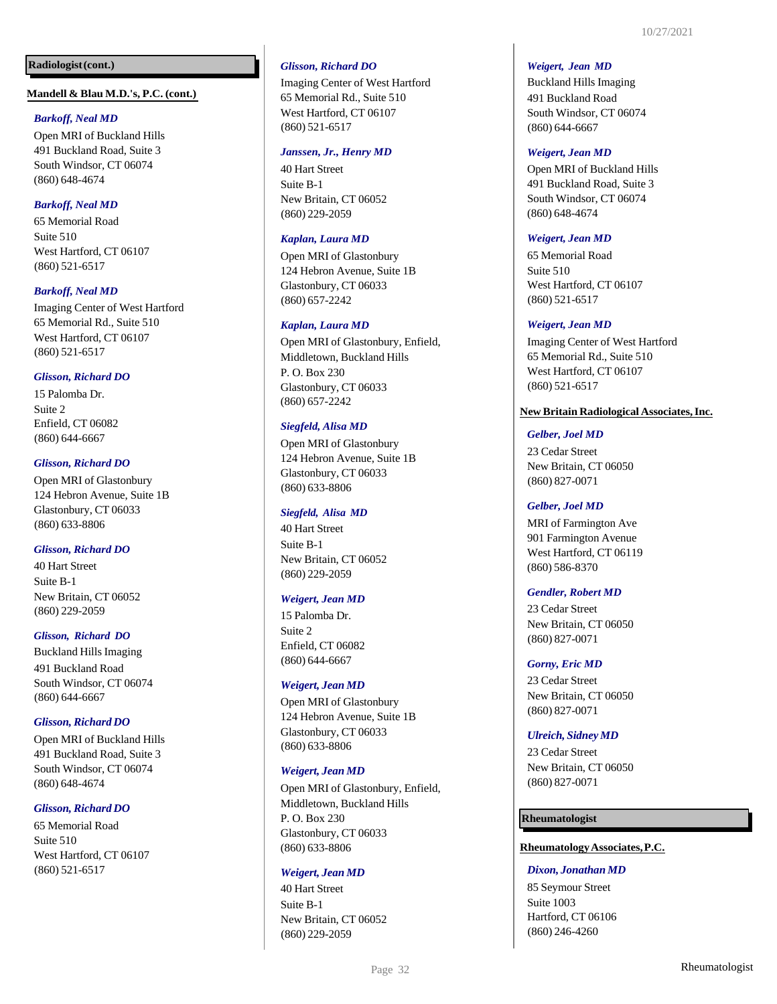#### **Mandell & Blau M.D.'s, P.C. (cont.)**

#### *Barkoff, Neal MD*

Open MRI of Buckland Hills 491 Buckland Road, Suite 3 South Windsor, CT 06074 (860) 648 -4674

## *Barkoff, Neal MD*

65 Memorial Road Suite 510 West Hartford, CT 06107 (860) 521 -6517

## *Barkoff, Neal MD*

Imaging Center of West Hartford 65 Memorial Rd., Suite 510 West Hartford, CT 06107 (860) 521 -6517

## *Glisson, Richard DO*

15 Palomba Dr. Suite 2 Enfield, CT 06082 (860) 644 -6667

#### *Glisson, Richard DO*

Open MRI of Glastonbury 124 Hebron Avenue, Suite 1B Glastonbury, CT 06033 (860) 633 -8806

#### *Glisson, Richard DO*

40 Hart Street Suite B-1 New Britain, CT 06052 (860) 229 -2059

#### *Glisson, Richard DO*

Buckland Hills Imaging 491 Buckland Road South Windsor, CT 06074 (860) 644 -6667

#### $G$ *lisson, Richard DO*

Open MRI of Buckland Hills 491 Buckland Road, Suite 3 South Windsor, CT 06074 (860) 648 -4674

#### $G$ *lisson, Richard DO*

65 Memorial Road Suite 510 West Hartford, CT 06107 (860) 521 -6517

## *Glisson, Richard DO*

Imaging Center of West Hartford 65 Memorial Rd., Suite 510 West Hartford, CT 06107 (860) 521 -6517

#### *Janssen, Jr., Henry MD*

40 Hart Street Suite B-1 New Britain, CT 06052 (860) 229 -2059

#### *Kaplan, Laura MD*

Open MRI of Glastonbury 124 Hebron Avenue, Suite 1B Glastonbury, CT 06033 (860) 657 -2242

#### *Kaplan, Laura MD*

Open MRI of Glastonbury, Enfield, Middletown, Buckland Hills P. O. Box 230 Glastonbury, CT 06033 (860) 657 -2242

#### *Siegfeld, Alisa MD*

Open MRI of Glastonbury 124 Hebron Avenue, Suite 1B Glastonbury, CT 06033 (860) 633 -8806

#### *Siegfeld, Alisa MD*

40 Hart Street Suite B-1 New Britain, CT 06052 (860) 229 -2059

#### *Weigert, Jean MD*

15 Palomba Dr. Suite 2 Enfield, CT 06082 (860) 644 -6667

#### *Weigert, Jean MD*

Open MRI of Glastonbury 124 Hebron Avenue, Suite 1B Glastonbury, CT 06033 (860) 633 -8806

#### *Weigert, Jean MD*

Open MRI of Glastonbury, Enfield, Middletown, Buckland Hills P. O. Box 230 Glastonbury, CT 06033 (860) 633 -8806

#### *Weigert, Jean MD*

40 Hart Street Suite B-1 New Britain, CT 06052 (860) 229 -2059

#### *Weigert, Jean MD*

Buckland Hills Imaging 491 Buckland Road South Windsor, CT 06074 (860) 644 -6667

#### *Weigert, Jean MD*

Open MRI of Buckland Hills 491 Buckland Road, Suite 3 South Windsor, CT 06074 (860) 648 -4674

#### *Weigert, Jean MD*

65 Memorial Road Suite 510 West Hartford, CT 06107 (860) 521 -6517

#### *Weigert, Jean MD*

Imaging Center of West Hartford 65 Memorial Rd., Suite 510 West Hartford, CT 06107 (860) 521 -6517

#### **New Britain Radiological Associates,Inc.**

#### *Gelber, Joel MD*

23 Cedar Street New Britain, CT 06050 (860) 827 -0071

#### *Gelber, Joel MD*

MRI of Farmington Ave 901 Farmington Avenue West Hartford, CT 06119 (860) 586 -8370

#### *Gendler, Robert MD*

23 Cedar Street New Britain, CT 06050 (860) 827 -0071

#### *Gorny, Eric MD*

23 Cedar Street New Britain, CT 06050 (860) 827 -0071

#### *Ulreich, Sidney MD*

23 Cedar Street New Britain, CT 06050 (860) 827 -0071

#### **Rheumatologist**

#### **RheumatologyAssociates,P.C.**

## *Dixon, Jonathan MD*

85 Seymour Street Suite 1003 Hartford, CT 06106 (860) 246 -4260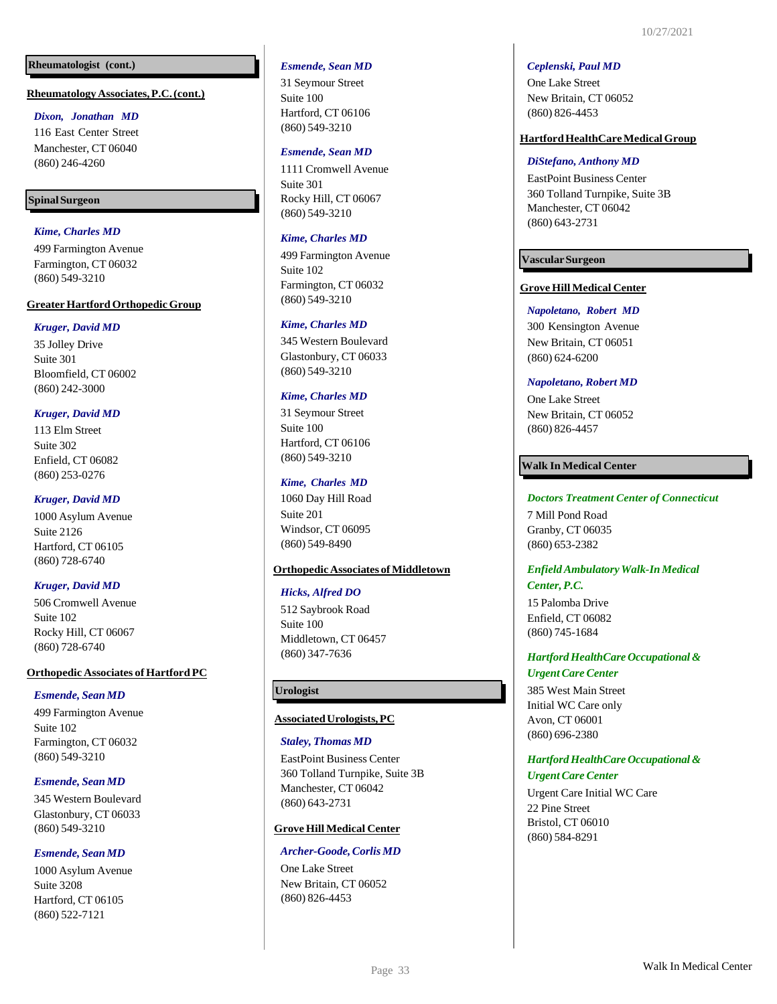## **Rheumatologist (cont.)**

#### **RheumatologyAssociates,P.C.(cont.)**

#### *Dixon, Jonathan MD*

116 East Center Street Manchester, CT 06040 (860) 246-4260

## **SpinalSurgeon**

## *Kime, Charles MD*

499 Farmington Avenue Farmington, CT 06032 (860) 549-3210

#### **GreaterHartfordOrthopedicGroup**

#### *Kruger, David MD*

35 Jolley Drive Suite 301 Bloomfield, CT 06002 (860) 242-3000

#### *Kruger, David MD*

113 Elm Street Suite 302 Enfield, CT 06082 (860) 253-0276

#### *Kruger, David MD*

1000 Asylum Avenue Suite 2126 Hartford, CT 06105 (860) 728-6740

#### *Kruger, David MD*

506 Cromwell Avenue Suite 102 Rocky Hill, CT 06067 (860) 728-6740

## **Orthopedic Associates of Hartford PC**

#### *Esmende, Sean MD*

499 Farmington Avenue Suite 102 Farmington, CT 06032 (860) 549-3210

#### *Esmende, Sean MD*

345 Western Boulevard Glastonbury, CT 06033 (860) 549-3210

#### *Esmende, Sean MD*

1000 Asylum Avenue Suite 3208 Hartford, CT 06105 (860) 522-7121

#### *Esmende, Sean MD*

31 Seymour Street Suite 100 Hartford, CT 06106 (860) 549-3210

#### *Esmende, Sean MD*

1111 Cromwell Avenue Suite 301 Rocky Hill, CT 06067 (860) 549-3210

## *Kime, Charles MD*

499 Farmington Avenue Suite 102 Farmington, CT 06032 (860) 549-3210

#### *Kime, Charles MD*

345 Western Boulevard Glastonbury, CT 06033 (860) 549-3210

#### *Kime, Charles MD*

31 Seymour Street Suite 100 Hartford, CT 06106 (860) 549-3210

#### *Kime, Charles MD*

1060 Day Hill Road Suite 201 Windsor, CT 06095 (860) 549-8490

## **Orthopedic Associates of Middletown**

#### *Hicks, Alfred DO*

512 Saybrook Road Suite 100 Middletown, CT 06457 (860) 347-7636

## **Urologist**

#### **AssociatedUrologists,PC**

#### *Staley, Thomas MD*

EastPoint Business Center 360 Tolland Turnpike, Suite 3B Manchester, CT 06042 (860) 643-2731

#### **Grove Hill Medical Center**

#### *Archer-Goode,CorlisMD*

One Lake Street New Britain, CT 06052 (860) 826-4453

#### *Ceplenski, Paul MD*

One Lake Street New Britain, CT 06052 (860) 826-4453

#### **HartfordHealthCareMedicalGroup**

#### *DiStefano, Anthony MD*

EastPoint Business Center 360 Tolland Turnpike, Suite 3B Manchester, CT 06042 (860) 643-2731

#### **VascularSurgeon**

#### **Grove Hill Medical Center**

*Napoletano, Robert MD* 300 Kensington Avenue New Britain, CT 06051 (860) 624-6200

#### *Napoletano, Robert MD*

One Lake Street New Britain, CT 06052 (860) 826-4457

#### **Walk In Medical Center**

#### *Doctors Treatment Center of Connecticut*

7 Mill Pond Road Granby, CT 06035 (860) 653-2382

## *EnfieldAmbulatoryWalk-InMedical Center,P.C.*

15 Palomba Drive Enfield, CT 06082 (860) 745-1684

#### *HartfordHealthCare Occupational&*

#### *UrgentCareCenter*

385 West Main Street Initial WC Care only Avon, CT 06001 (860) 696-2380

## *HartfordHealthCare Occupational& Urgent Care Center*

Urgent Care Initial WC Care 22 Pine Street Bristol, CT 06010 (860) 584-8291